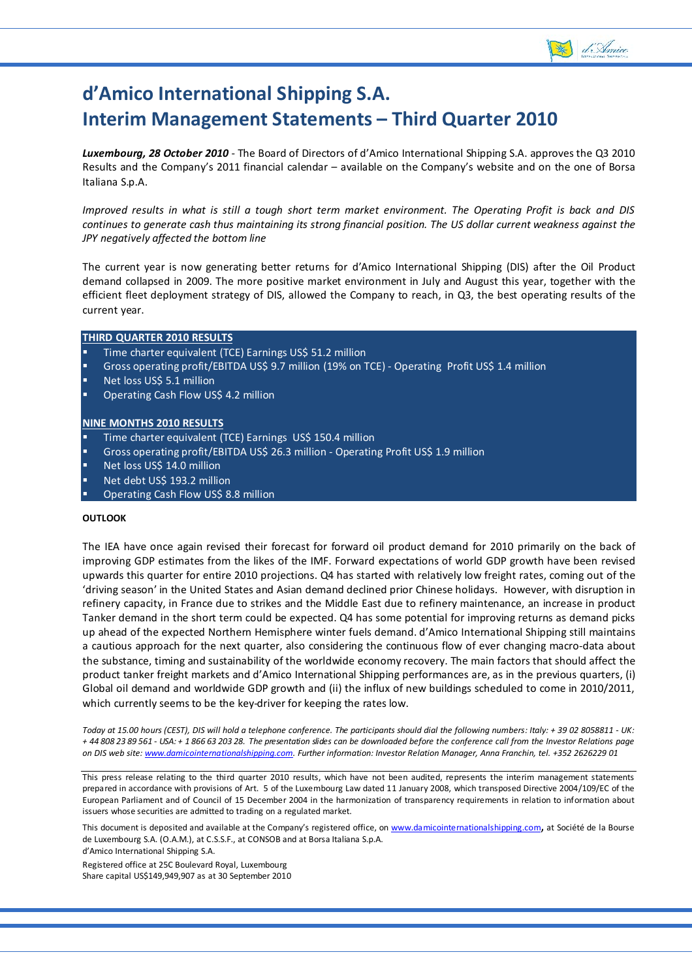

# **d'Amico International Shipping S.A. Interim Management Statements – Third Quarter 2010**

*Luxembourg, 28 October 2010* ‐ The Board of Directors of d'Amico International Shipping S.A. approves the Q3 2010 Results and the Company's 2011 financial calendar – available on the Company's website and on the one of Borsa Italiana S.p.A.

Improved results in what is still a tough short term market environment. The Operating Profit is back and DIS continues to generate cash thus maintaining its strong financial position. The US dollar current weakness against the *JPY negatively affected the bottom line* 

The current year is now generating better returns for d'Amico International Shipping (DIS) after the Oil Product demand collapsed in 2009. The more positive market environment in July and August this year, together with the efficient fleet deployment strategy of DIS, allowed the Company to reach, in Q3, the best operating results of the current year.

#### **THIRD QUARTER 2010 RESULTS**

- Time charter equivalent (TCE) Earnings US\$ 51.2 million
- Gross operating profit/EBITDA US\$ 9.7 million (19% on TCE) ‐ Operating Profit US\$ 1.4 million
- Net loss US\$ 5.1 million
- Operating Cash Flow US\$ 4.2 million

#### **NINE MONTHS 2010 RESULTS**

- Time charter equivalent (TCE) Earnings US\$ 150.4 million
- Gross operating profit/EBITDA US\$ 26.3 million ‐ Operating Profit US\$ 1.9 million
- Net loss US\$ 14.0 million
- Net debt US\$ 193.2 million
- Operating Cash Flow US\$ 8.8 million

#### **OUTLOOK**

j

The IEA have once again revised their forecast for forward oil product demand for 2010 primarily on the back of improving GDP estimates from the likes of the IMF. Forward expectations of world GDP growth have been revised upwards this quarter for entire 2010 projections. Q4 has started with relatively low freight rates, coming out of the 'driving season' in the United States and Asian demand declined prior Chinese holidays. However, with disruption in refinery capacity, in France due to strikes and the Middle East due to refinery maintenance, an increase in product Tanker demand in the short term could be expected. Q4 has some potential for improving returns as demand picks up ahead of the expected Northern Hemisphere winter fuels demand. d'Amico International Shipping still maintains a cautious approach for the next quarter, also considering the continuous flow of ever changing macro‐data about the substance, timing and sustainability of the worldwide economy recovery. The main factors that should affect the product tanker freight markets and d'Amico International Shipping performances are, as in the previous quarters, (i) Global oil demand and worldwide GDP growth and (ii) the influx of new buildings scheduled to come in 2010/2011, which currently seems to be the key-driver for keeping the rates low.

Today at 15.00 hours (CEST), DIS will hold a telephone conference. The participants should dial the following numbers: Italy: + 39 02 8058811 - UK: + 44 808 23 89 561 - USA: + 1 866 63 203 28. The presentation slides can be downloaded before the conference call from the Investor Relations page on DIS web site: www.damicointernationalshipping.com. Further information: Investor Relation Manager, Anna Franchin, tel. +352 2626229 01

This press release relating to the third quarter 2010 results, which have not been audited, represents the interim management statements prepared in accordance with provisions of Art. 5 of the Luxembourg Law dated 11 January 2008, which transposed Directive 2004/109/EC of the European Parliament and of Council of 15 December 2004 in the harmonization of transparency requirements in relation to information about issuers whose securities are admitted to trading on a regulated market.

This document is deposited and available at the Company's registered office, on www.damicointernationalshipping.com, at Société de la Bourse de Luxembourg S.A. (O.A.M.), at C.S.S.F., at CONSOB and at Borsa Italiana S.p.A. d'Amico International Shipping S.A.

Registered office at 25C Boulevard Royal, Luxembourg Share capital US\$149,949,907 as at 30 September 2010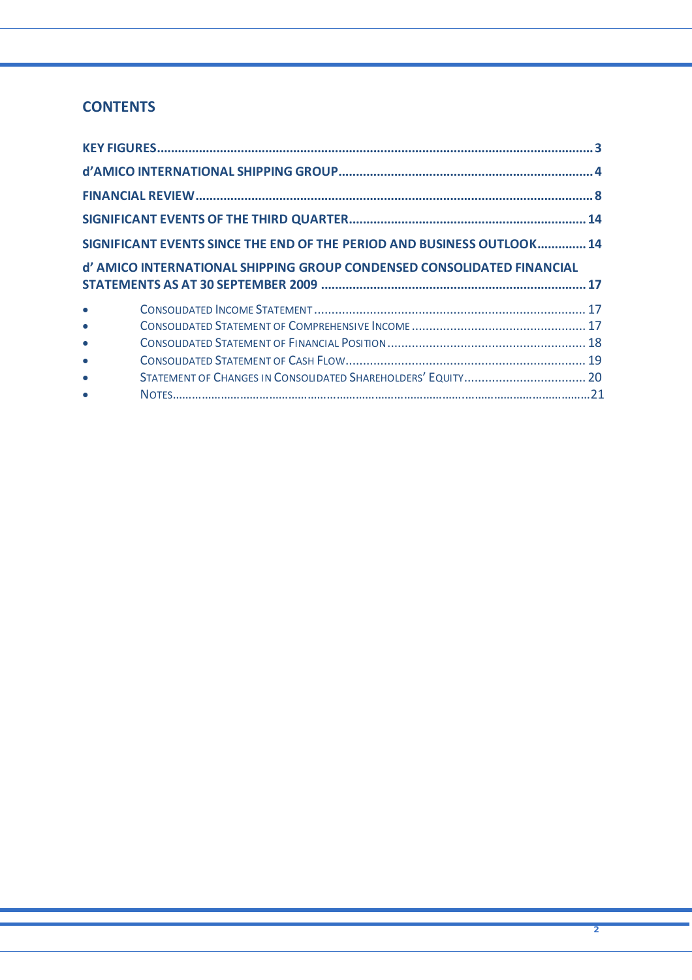## **CONTENTS**

|           | SIGNIFICANT EVENTS SINCE THE END OF THE PERIOD AND BUSINESS OUTLOOK 14 |  |
|-----------|------------------------------------------------------------------------|--|
|           |                                                                        |  |
|           | d' AMICO INTERNATIONAL SHIPPING GROUP CONDENSED CONSOLIDATED FINANCIAL |  |
|           |                                                                        |  |
| $\bullet$ |                                                                        |  |
| $\bullet$ |                                                                        |  |
| $\bullet$ |                                                                        |  |
|           |                                                                        |  |
| $\bullet$ |                                                                        |  |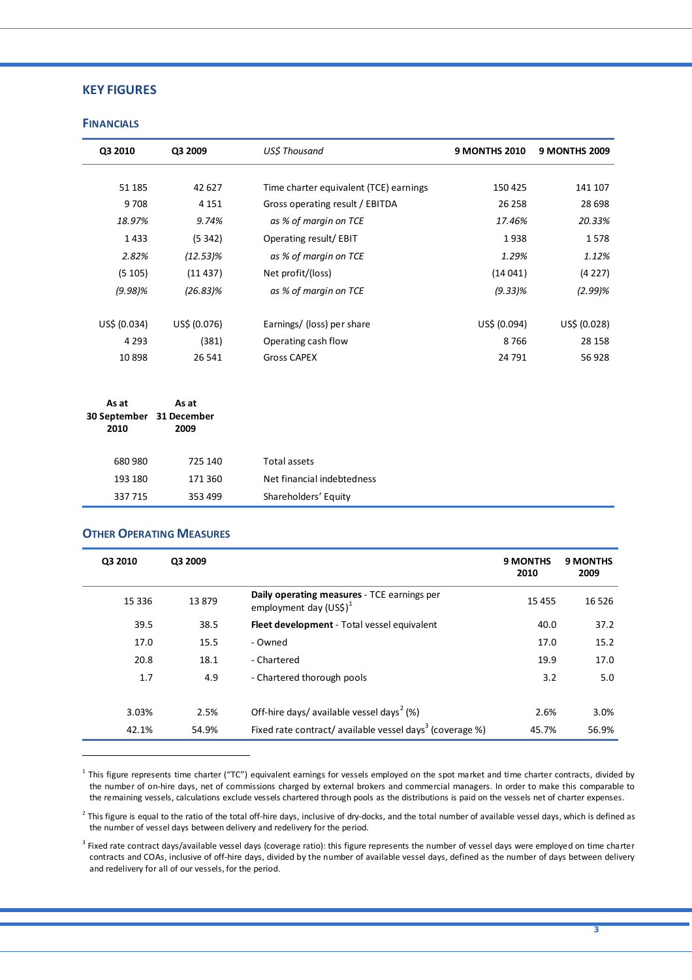## **KEY FIGURES**

### **FINANCIALS**

| Q3 2010                  | Q3 2009      | US\$ Thousand                          | <b>9 MONTHS 2010</b> | <b>9 MONTHS 2009</b> |
|--------------------------|--------------|----------------------------------------|----------------------|----------------------|
|                          |              |                                        |                      |                      |
| 51 185                   | 42 627       | Time charter equivalent (TCE) earnings | 150 425              | 141 107              |
| 9708                     | 4 1 5 1      | Gross operating result / EBITDA        | 26 25 8              | 28 6 98              |
| 18.97%                   | 9.74%        | as % of margin on TCE                  | 17.46%               | 20.33%               |
| 1433                     | (5342)       | Operating result/ EBIT                 | 1938                 | 1578                 |
| 2.82%                    | $(12.53)\%$  | as % of margin on TCE                  | 1.29%                | 1.12%                |
| (5105)                   | (11437)      | Net profit/(loss)                      | (14041)              | (4227)               |
| $(9.98)\%$               | $(26.83)\%$  | as % of margin on TCE                  | $(9.33)\%$           | $(2.99)\%$           |
|                          |              |                                        |                      |                      |
| US\$ (0.034)             | US\$ (0.076) | Earnings/ (loss) per share             | US\$ (0.094)         | US\$ (0.028)         |
| 4 2 9 3                  | (381)        | Operating cash flow                    | 8766                 | 28 15 8              |
| 10898                    | 26 541       | <b>Gross CAPEX</b>                     | 24 791               | 56 928               |
|                          |              |                                        |                      |                      |
| As at                    | As at        |                                        |                      |                      |
| 30 September 31 December |              |                                        |                      |                      |
| 2010                     | 2009         |                                        |                      |                      |
| 680 980                  | 725 140      | <b>Total assets</b>                    |                      |                      |
| 193 180                  | 171 360      | Net financial indebtedness             |                      |                      |

#### **OTHER OPERATING MEASURES**

337 715 353 499 Shareholders' Equity 

 $\overline{a}$ 

| Q3 2010 | Q3 2009 |                                                                         | <b>9 MONTHS</b><br>2010 | <b>9 MONTHS</b><br>2009 |
|---------|---------|-------------------------------------------------------------------------|-------------------------|-------------------------|
| 15 3 36 | 13879   | Daily operating measures - TCE earnings per<br>employment day $(USS)^1$ | 15 4 5 5                | 16 5 26                 |
| 39.5    | 38.5    | Fleet development - Total vessel equivalent                             | 40.0                    | 37.2                    |
| 17.0    | 15.5    | - Owned                                                                 | 17.0                    | 15.2                    |
| 20.8    | 18.1    | - Chartered                                                             | 19.9                    | 17.0                    |
| 1.7     | 4.9     | - Chartered thorough pools                                              | 3.2                     | 5.0                     |
| 3.03%   | 2.5%    | Off-hire days/ available vessel days <sup>2</sup> (%)                   | 2.6%                    | 3.0%                    |
| 42.1%   | 54.9%   | Fixed rate contract/ available vessel days <sup>3</sup> (coverage %)    | 45.7%                   | 56.9%                   |

 $1$  This figure represents time charter ("TC") equivalent earnings for vessels employed on the spot market and time charter contracts, divided by the number of on‐hire days, net of commissions charged by external brokers and commercial managers. In order to make this comparable to the remaining vessels, calculations exclude vessels chartered through pools as the distributions is paid on the vessels net of charter expenses.

 $^{2}$  This figure is equal to the ratio of the total off-hire days, inclusive of dry-docks, and the total number of available vessel days, which is defined as the number of vessel days between delivery and redelivery for the period.

<sup>3</sup> Fixed rate contract days/available vessel days (coverage ratio): this figure represents the number of vessel days were employed on time charter contracts and COAs, inclusive of off‐hire days, divided by the number of available vessel days, defined as the number of days between delivery and redelivery for all of our vessels, for the period.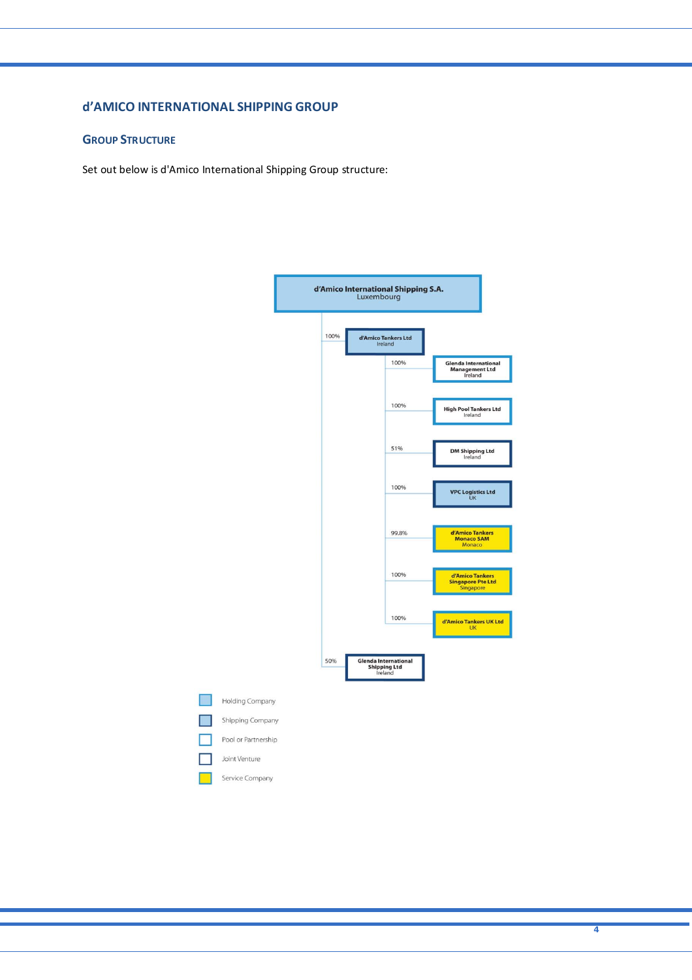## **d'AMICO INTERNATIONAL SHIPPING GROUP**

Г

## **GROUP STRUCTURE**

Set out below is d'Amico International Shipping Group structure:



**4**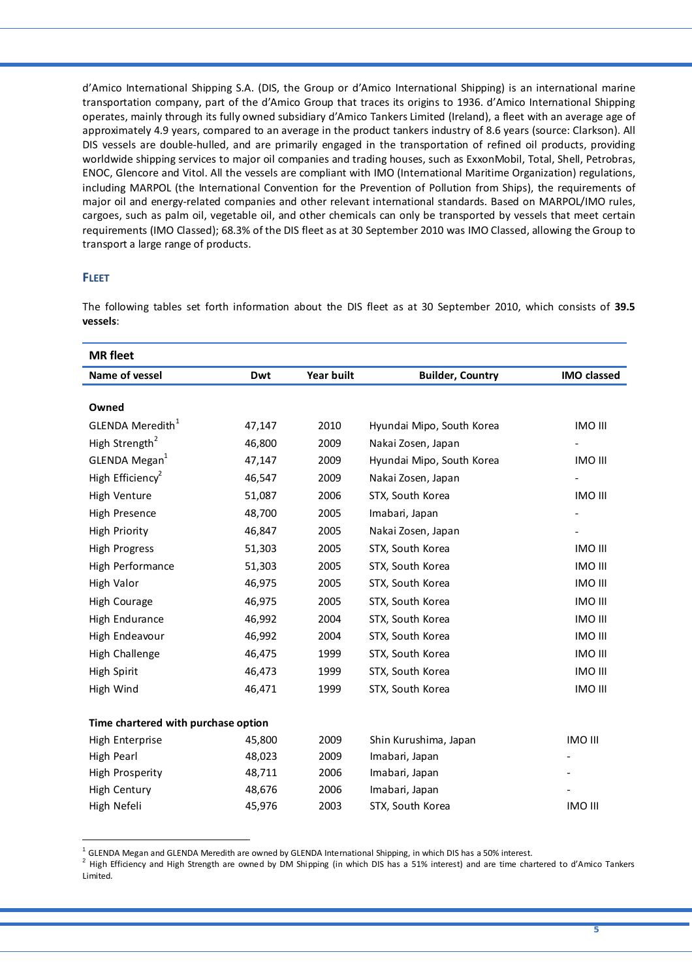d'Amico International Shipping S.A. (DIS, the Group or d'Amico International Shipping) is an international marine transportation company, part of the d'Amico Group that traces its origins to 1936. d'Amico International Shipping operates, mainly through its fully owned subsidiary d'Amico Tankers Limited (Ireland), a fleet with an average age of approximately 4.9 years, compared to an average in the product tankers industry of 8.6 years (source: Clarkson). All DIS vessels are double‐hulled, and are primarily engaged in the transportation of refined oil products, providing worldwide shipping services to major oil companies and trading houses, such as ExxonMobil, Total, Shell, Petrobras, ENOC, Glencore and Vitol. All the vessels are compliant with IMO (International Maritime Organization) regulations, including MARPOL (the International Convention for the Prevention of Pollution from Ships), the requirements of major oil and energy‐related companies and other relevant international standards. Based on MARPOL/IMO rules, cargoes, such as palm oil, vegetable oil, and other chemicals can only be transported by vessels that meet certain requirements (IMO Classed); 68.3% of the DIS fleet as at 30 September 2010 was IMO Classed, allowing the Group to transport a large range of products.

## **FLEET**

 $\overline{a}$ 

The following tables set forth information about the DIS fleet as at 30 September 2010, which consists of **39.5 vessels**:

| <b>MR</b> fleet                     |        |                   |                           |                    |
|-------------------------------------|--------|-------------------|---------------------------|--------------------|
| Name of vessel                      | Dwt    | <b>Year built</b> | <b>Builder, Country</b>   | <b>IMO classed</b> |
|                                     |        |                   |                           |                    |
| Owned                               |        |                   |                           |                    |
| GLENDA Meredith <sup>1</sup>        | 47,147 | 2010              | Hyundai Mipo, South Korea | <b>IMO III</b>     |
| High Strength <sup>2</sup>          | 46,800 | 2009              | Nakai Zosen, Japan        |                    |
| GLENDA Megan <sup>1</sup>           | 47,147 | 2009              | Hyundai Mipo, South Korea | <b>IMO III</b>     |
| High Efficiency <sup>2</sup>        | 46,547 | 2009              | Nakai Zosen, Japan        |                    |
| High Venture                        | 51,087 | 2006              | STX, South Korea          | <b>IMO III</b>     |
| High Presence                       | 48,700 | 2005              | Imabari, Japan            |                    |
| <b>High Priority</b>                | 46,847 | 2005              | Nakai Zosen, Japan        |                    |
| <b>High Progress</b>                | 51,303 | 2005              | STX, South Korea          | <b>IMO III</b>     |
| High Performance                    | 51,303 | 2005              | STX, South Korea          | <b>IMO III</b>     |
| High Valor                          | 46,975 | 2005              | STX, South Korea          | <b>IMO III</b>     |
| High Courage                        | 46,975 | 2005              | STX, South Korea          | <b>IMO III</b>     |
| High Endurance                      | 46,992 | 2004              | STX, South Korea          | <b>IMO III</b>     |
| High Endeavour                      | 46,992 | 2004              | STX, South Korea          | <b>IMO III</b>     |
| High Challenge                      | 46,475 | 1999              | STX, South Korea          | <b>IMO III</b>     |
| High Spirit                         | 46,473 | 1999              | STX, South Korea          | <b>IMO III</b>     |
| High Wind                           | 46,471 | 1999              | STX, South Korea          | <b>IMO III</b>     |
|                                     |        |                   |                           |                    |
| Time chartered with purchase option |        |                   |                           |                    |
| High Enterprise                     | 45,800 | 2009              | Shin Kurushima, Japan     | <b>IMO III</b>     |
| High Pearl                          | 48,023 | 2009              | Imabari, Japan            |                    |
| High Prosperity                     | 48,711 | 2006              | Imabari, Japan            |                    |
| High Century                        | 48,676 | 2006              | Imabari, Japan            |                    |
| High Nefeli                         | 45,976 | 2003              | STX, South Korea          | <b>IMO III</b>     |

<sup>&</sup>lt;sup>1</sup> GLENDA Megan and GLENDA Meredith are owned by GLENDA International Shipping, in which DIS has a 50% interest.<br><sup>2</sup> High Efficiency and High Strength are owned by DM Shipping (in which DIS has a 51% interest) and are ti Limited.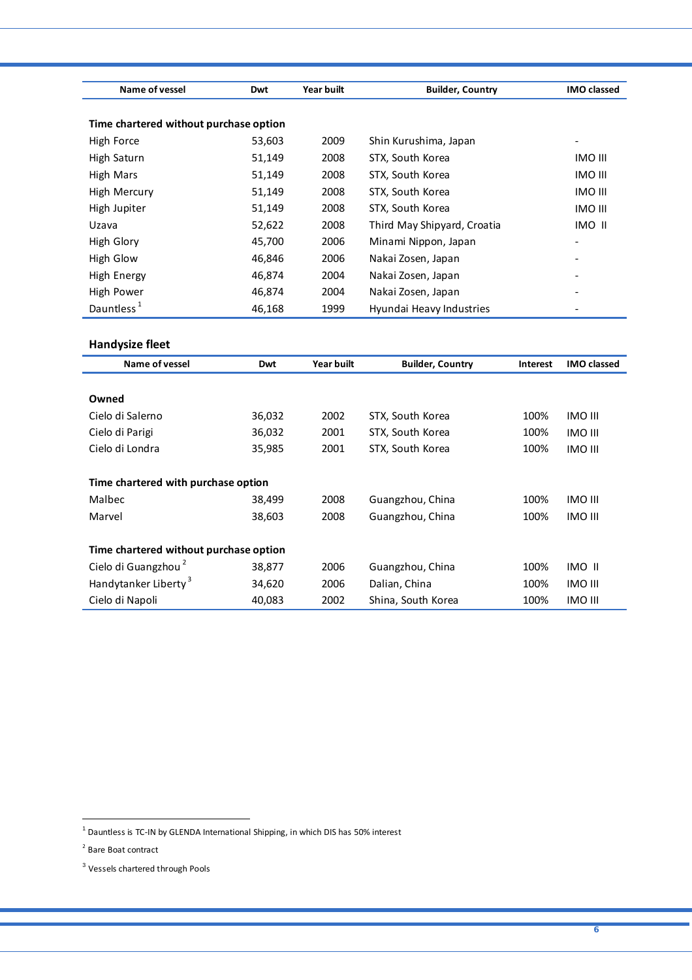| Name of vessel                         | Dwt    | Year built | <b>Builder, Country</b>     | <b>IMO classed</b> |
|----------------------------------------|--------|------------|-----------------------------|--------------------|
| Time chartered without purchase option |        |            |                             |                    |
| High Force                             | 53,603 | 2009       | Shin Kurushima, Japan       |                    |
| High Saturn                            | 51,149 | 2008       | STX, South Korea            | IMO III            |
| High Mars                              | 51,149 | 2008       | STX, South Korea            | <b>IMO III</b>     |
| High Mercury                           | 51,149 | 2008       | STX, South Korea            | <b>IMO III</b>     |
| High Jupiter                           | 51,149 | 2008       | STX, South Korea            | <b>IMO III</b>     |
| Uzava                                  | 52,622 | 2008       | Third May Shipyard, Croatia | IMO II             |
| High Glory                             | 45,700 | 2006       | Minami Nippon, Japan        | ۰                  |
| High Glow                              | 46,846 | 2006       | Nakai Zosen, Japan          |                    |
| High Energy                            | 46,874 | 2004       | Nakai Zosen, Japan          |                    |
| High Power                             | 46,874 | 2004       | Nakai Zosen, Japan          |                    |
| Dauntless <sup>1</sup>                 | 46,168 | 1999       | Hyundai Heavy Industries    |                    |

## **Handysize fleet**

| Name of vessel                         | Dwt    | <b>Year built</b> | <b>Builder, Country</b> | <b>Interest</b> | <b>IMO classed</b> |
|----------------------------------------|--------|-------------------|-------------------------|-----------------|--------------------|
|                                        |        |                   |                         |                 |                    |
| Owned                                  |        |                   |                         |                 |                    |
| Cielo di Salerno                       | 36,032 | 2002              | STX, South Korea        | 100%            | <b>IMO III</b>     |
| Cielo di Parigi                        | 36,032 | 2001              | STX, South Korea        | 100%            | <b>IMO III</b>     |
| Cielo di Londra                        | 35,985 | 2001              | STX, South Korea        | 100%            | <b>IMO III</b>     |
|                                        |        |                   |                         |                 |                    |
| Time chartered with purchase option    |        |                   |                         |                 |                    |
| Malbec                                 | 38,499 | 2008              | Guangzhou, China        | 100%            | <b>IMO III</b>     |
| Marvel                                 | 38,603 | 2008              | Guangzhou, China        | 100%            | <b>IMO III</b>     |
|                                        |        |                   |                         |                 |                    |
| Time chartered without purchase option |        |                   |                         |                 |                    |
| Cielo di Guangzhou <sup>2</sup>        | 38,877 | 2006              | Guangzhou, China        | 100%            | IMO II             |
| Handytanker Liberty <sup>3</sup>       | 34,620 | 2006              | Dalian, China           | 100%            | <b>IMO III</b>     |
| Cielo di Napoli                        | 40,083 | 2002              | Shina, South Korea      | 100%            | IMO III            |

 $\overline{a}$ 

 $<sup>1</sup>$  Dauntless is TC-IN by GLENDA International Shipping, in which DIS has 50% interest</sup>

<sup>2</sup> Bare Boat contract

<sup>3</sup> Vessels chartered through Pools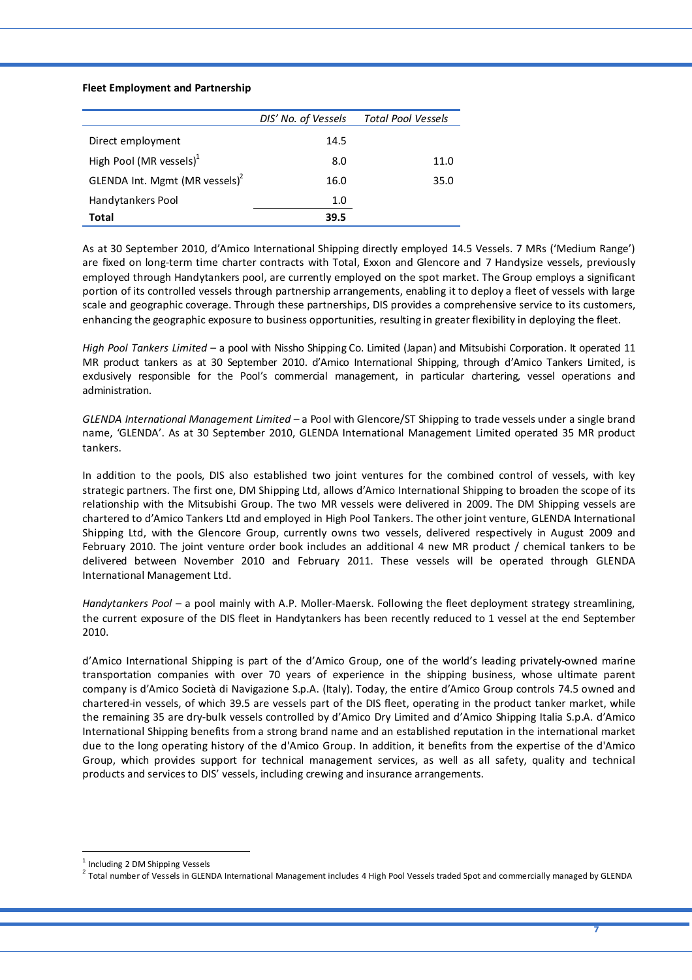#### **Fleet Employment and Partnership**

|                                            | DIS' No. of Vessels | <b>Total Pool Vessels</b> |
|--------------------------------------------|---------------------|---------------------------|
| Direct employment                          | 14.5                |                           |
| High Pool (MR vessels) $1$                 | 8.0                 | 11.0                      |
| GLENDA Int. Mgmt (MR vessels) <sup>2</sup> | 16.0                | 35.0                      |
| Handytankers Pool                          | 1.0                 |                           |
| Total                                      | 39.5                |                           |

As at 30 September 2010, d'Amico International Shipping directly employed 14.5 Vessels. 7 MRs ('Medium Range') are fixed on long-term time charter contracts with Total, Exxon and Glencore and 7 Handysize vessels, previously employed through Handytankers pool, are currently employed on the spot market. The Group employs a significant portion of its controlled vessels through partnership arrangements, enabling it to deploy a fleet of vessels with large scale and geographic coverage. Through these partnerships, DIS provides a comprehensive service to its customers, enhancing the geographic exposure to business opportunities, resulting in greater flexibility in deploying the fleet.

*High Pool Tankers Limited* – a pool with Nissho Shipping Co. Limited (Japan) and Mitsubishi Corporation. It operated 11 MR product tankers as at 30 September 2010. d'Amico International Shipping, through d'Amico Tankers Limited, is exclusively responsible for the Pool's commercial management, in particular chartering, vessel operations and administration.

*GLENDA International Management Limited* – a Pool with Glencore/ST Shipping to trade vessels under a single brand name, 'GLENDA'. As at 30 September 2010, GLENDA International Management Limited operated 35 MR product tankers.

In addition to the pools, DIS also established two joint ventures for the combined control of vessels, with key strategic partners. The first one, DM Shipping Ltd, allows d'Amico International Shipping to broaden the scope of its relationship with the Mitsubishi Group. The two MR vessels were delivered in 2009. The DM Shipping vessels are chartered to d'Amico Tankers Ltd and employed in High Pool Tankers. The other joint venture, GLENDA International Shipping Ltd, with the Glencore Group, currently owns two vessels, delivered respectively in August 2009 and February 2010. The joint venture order book includes an additional 4 new MR product / chemical tankers to be delivered between November 2010 and February 2011. These vessels will be operated through GLENDA International Management Ltd.

*Handytankers Pool* – a pool mainly with A.P. Moller‐Maersk. Following the fleet deployment strategy streamlining, the current exposure of the DIS fleet in Handytankers has been recently reduced to 1 vessel at the end September 2010.

d'Amico International Shipping is part of the d'Amico Group, one of the world's leading privately‐owned marine transportation companies with over 70 years of experience in the shipping business, whose ultimate parent company is d'Amico Società di Navigazione S.p.A. (Italy). Today, the entire d'Amico Group controls 74.5 owned and chartered-in vessels, of which 39.5 are vessels part of the DIS fleet, operating in the product tanker market, while the remaining 35 are dry‐bulk vessels controlled by d'Amico Dry Limited and d'Amico Shipping Italia S.p.A. d'Amico International Shipping benefits from a strong brand name and an established reputation in the international market due to the long operating history of the d'Amico Group. In addition, it benefits from the expertise of the d'Amico Group, which provides support for technical management services, as well as all safety, quality and technical products and services to DIS' vessels, including crewing and insurance arrangements.

 $\overline{a}$ 

<sup>&</sup>lt;sup>1</sup> Including 2 DM Shipping Vessels<br><sup>2</sup> Total number of Vessels in GLENDA International Management includes 4 High Pool Vessels traded Spot and commercially managed by GLENDA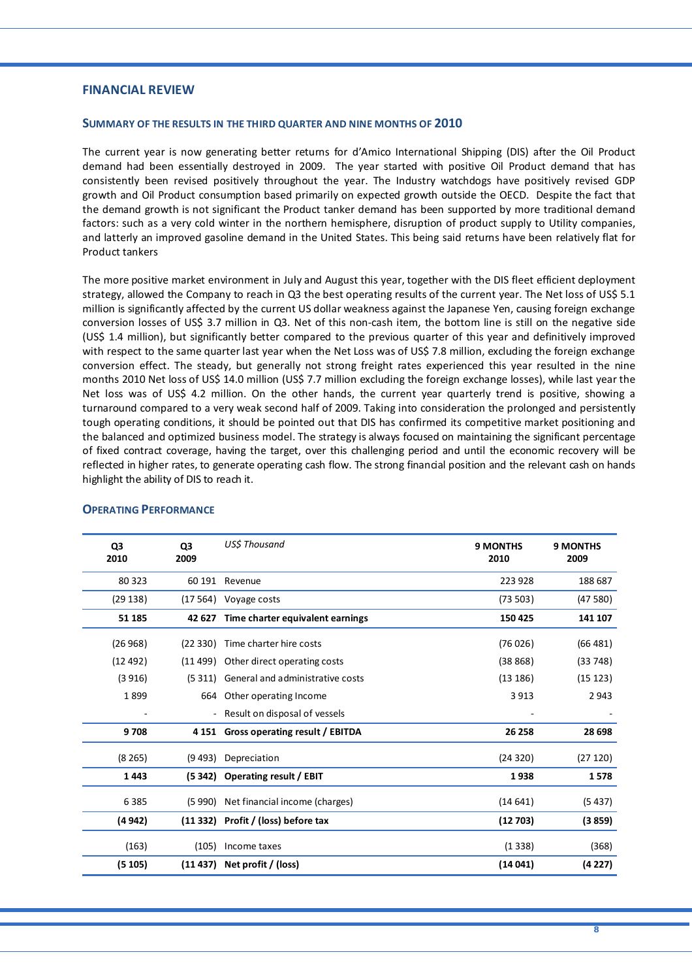## **FINANCIAL REVIEW**

#### **SUMMARY OF THE RESULTS IN THE THIRD QUARTER AND NINE MONTHS OF 2010**

The current year is now generating better returns for d'Amico International Shipping (DIS) after the Oil Product demand had been essentially destroyed in 2009. The year started with positive Oil Product demand that has consistently been revised positively throughout the year. The Industry watchdogs have positively revised GDP growth and Oil Product consumption based primarily on expected growth outside the OECD. Despite the fact that the demand growth is not significant the Product tanker demand has been supported by more traditional demand factors: such as a very cold winter in the northern hemisphere, disruption of product supply to Utility companies, and latterly an improved gasoline demand in the United States. This being said returns have been relatively flat for Product tankers

The more positive market environment in July and August this year, together with the DIS fleet efficient deployment strategy, allowed the Company to reach in Q3 the best operating results of the current year. The Net loss of US\$ 5.1 million is significantly affected by the current US dollar weakness against the Japanese Yen, causing foreign exchange conversion losses of US\$ 3.7 million in Q3. Net of this non‐cash item, the bottom line is still on the negative side (US\$ 1.4 million), but significantly better compared to the previous quarter of this year and definitively improved with respect to the same quarter last year when the Net Loss was of US\$ 7.8 million, excluding the foreign exchange conversion effect. The steady, but generally not strong freight rates experienced this year resulted in the nine months 2010 Net loss of US\$ 14.0 million (US\$ 7.7 million excluding the foreign exchange losses), while last year the Net loss was of US\$ 4.2 million. On the other hands, the current year quarterly trend is positive, showing a turnaround compared to a very weak second half of 2009. Taking into consideration the prolonged and persistently tough operating conditions, it should be pointed out that DIS has confirmed its competitive market positioning and the balanced and optimized business model. The strategy is always focused on maintaining the significant percentage of fixed contract coverage, having the target, over this challenging period and until the economic recovery will be reflected in higher rates, to generate operating cash flow. The strong financial position and the relevant cash on hands highlight the ability of DIS to reach it.

| Q3<br>2010 | Q <sub>3</sub><br>2009 | <b>USS Thousand</b>                     | <b>9 MONTHS</b><br>2010 | <b>9 MONTHS</b><br>2009 |
|------------|------------------------|-----------------------------------------|-------------------------|-------------------------|
| 80 323     | 60 191                 | Revenue                                 | 223 928                 | 188 687                 |
| (29138)    |                        | $(17 564)$ Voyage costs                 | (73503)                 | (47580)                 |
| 51 185     |                        | 42 627 Time charter equivalent earnings | 150 425                 | 141 107                 |
| (26968)    | (22330)                | Time charter hire costs                 | (76026)                 | (66 481)                |
| (12492)    | (11 499)               | Other direct operating costs            | (38868)                 | (33748)                 |
| (3916)     | (5311)                 | General and administrative costs        | (13186)                 | (15123)                 |
| 1899       |                        | 664 Other operating Income              | 3913                    | 2 9 4 3                 |
|            |                        | Result on disposal of vessels           |                         |                         |
| 9708       | 4 15 1                 | Gross operating result / EBITDA         | 26 258                  | 28 698                  |
| (8265)     | (9493)                 | Depreciation                            | (24320)                 | (27120)                 |
| 1443       | (5 342)                | Operating result / EBIT                 | 1938                    | 1578                    |
| 6385       | (5990)                 | Net financial income (charges)          | (14641)                 | (5437)                  |
| (4 942)    |                        | (11 332) Profit / (loss) before tax     | (12703)                 | (3859)                  |
| (163)      | (105)                  | Income taxes                            | (1338)                  | (368)                   |
| (5105)     |                        | $(11 437)$ Net profit / (loss)          | (14041)                 | (4227)                  |

#### **OPERATING PERFORMANCE**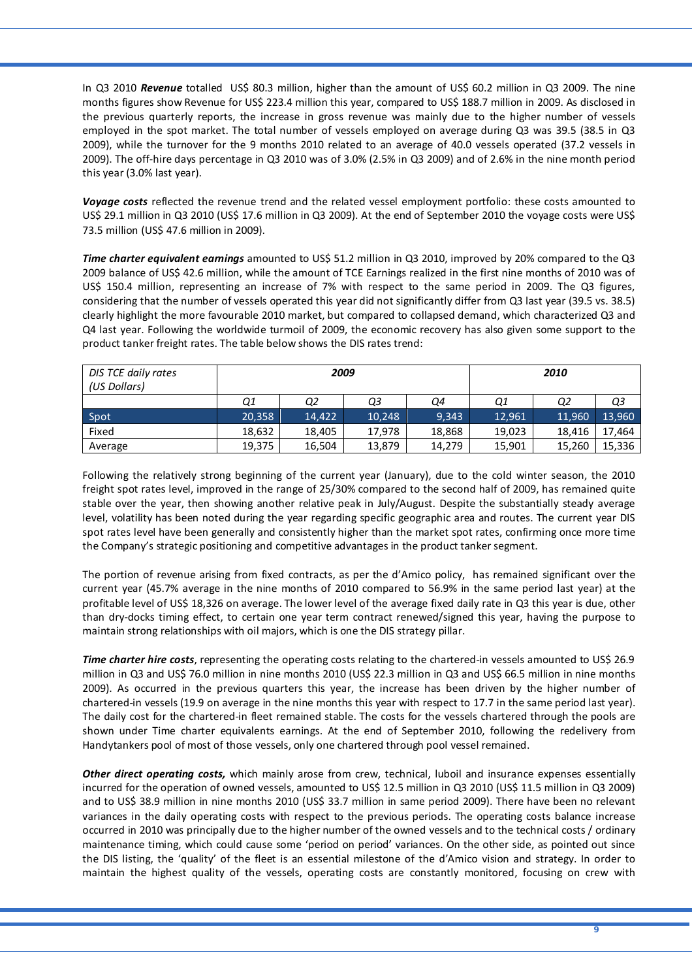In Q3 2010 *Revenue* totalled US\$ 80.3 million, higher than the amount of US\$ 60.2 million in Q3 2009. The nine months figures show Revenue for US\$ 223.4 million this year, compared to US\$ 188.7 million in 2009. As disclosed in the previous quarterly reports, the increase in gross revenue was mainly due to the higher number of vessels employed in the spot market. The total number of vessels employed on average during Q3 was 39.5 (38.5 in Q3 2009), while the turnover for the 9 months 2010 related to an average of 40.0 vessels operated (37.2 vessels in 2009). The off‐hire days percentage in Q3 2010 was of 3.0% (2.5% in Q3 2009) and of 2.6% in the nine month period this year (3.0% last year).

*Voyage costs* reflected the revenue trend and the related vessel employment portfolio: these costs amounted to US\$ 29.1 million in Q3 2010 (US\$ 17.6 million in Q3 2009). At the end of September 2010 the voyage costs were US\$ 73.5 million (US\$ 47.6 million in 2009).

*Time charter equivalent earnings* amounted to US\$ 51.2 million in Q3 2010, improved by 20% compared to the Q3 2009 balance of US\$ 42.6 million, while the amount of TCE Earnings realized in the first nine months of 2010 was of US\$ 150.4 million, representing an increase of 7% with respect to the same period in 2009. The Q3 figures, considering that the number of vessels operated this year did not significantly differ from Q3 last year (39.5 vs. 38.5) clearly highlight the more favourable 2010 market, but compared to collapsed demand, which characterized Q3 and Q4 last year. Following the worldwide turmoil of 2009, the economic recovery has also given some support to the product tanker freight rates. The table below shows the DIS rates trend:

| DIS TCE daily rates<br>(US Dollars) |        |        | 2009   |        |        | 2010   |        |
|-------------------------------------|--------|--------|--------|--------|--------|--------|--------|
|                                     | Q1     | Q2     | Q3     | Q4     | Q1     | Q2     | Q3     |
| Spot                                | 20,358 | 14.422 | 10,248 | 9,343  | 12,961 | 11,960 | 13,960 |
| Fixed                               | 18,632 | 18,405 | 17,978 | 18,868 | 19,023 | 18,416 | 17,464 |
| Average                             | 19,375 | 16,504 | 13,879 | 14,279 | 15,901 | 15,260 | 15,336 |

Following the relatively strong beginning of the current year (January), due to the cold winter season, the 2010 freight spot rates level, improved in the range of 25/30% compared to the second half of 2009, has remained quite stable over the year, then showing another relative peak in July/August. Despite the substantially steady average level, volatility has been noted during the year regarding specific geographic area and routes. The current year DIS spot rates level have been generally and consistently higher than the market spot rates, confirming once more time the Company's strategic positioning and competitive advantages in the product tanker segment.

The portion of revenue arising from fixed contracts, as per the d'Amico policy, has remained significant over the current year (45.7% average in the nine months of 2010 compared to 56.9% in the same period last year) at the profitable level of US\$ 18,326 on average. The lower level of the average fixed daily rate in Q3 this year is due, other than dry‐docks timing effect, to certain one year term contract renewed/signed this year, having the purpose to maintain strong relationships with oil majors, which is one the DIS strategy pillar.

*Time charter hire costs*, representing the operating costs relating to the chartered‐in vessels amounted to US\$ 26.9 million in Q3 and US\$ 76.0 million in nine months 2010 (US\$ 22.3 million in Q3 and US\$ 66.5 million in nine months 2009). As occurred in the previous quarters this year, the increase has been driven by the higher number of chartered-in vessels (19.9 on average in the nine months this year with respect to 17.7 in the same period last year). The daily cost for the chartered-in fleet remained stable. The costs for the vessels chartered through the pools are shown under Time charter equivalents earnings. At the end of September 2010, following the redelivery from Handytankers pool of most of those vessels, only one chartered through pool vessel remained.

*Other direct operating costs,* which mainly arose from crew, technical, luboil and insurance expenses essentially incurred for the operation of owned vessels, amounted to US\$ 12.5 million in Q3 2010 (US\$ 11.5 million in Q3 2009) and to US\$ 38.9 million in nine months 2010 (US\$ 33.7 million in same period 2009). There have been no relevant variances in the daily operating costs with respect to the previous periods. The operating costs balance increase occurred in 2010 was principally due to the higher number of the owned vessels and to the technical costs / ordinary maintenance timing, which could cause some 'period on period' variances. On the other side, as pointed out since the DIS listing, the 'quality' of the fleet is an essential milestone of the d'Amico vision and strategy. In order to maintain the highest quality of the vessels, operating costs are constantly monitored, focusing on crew with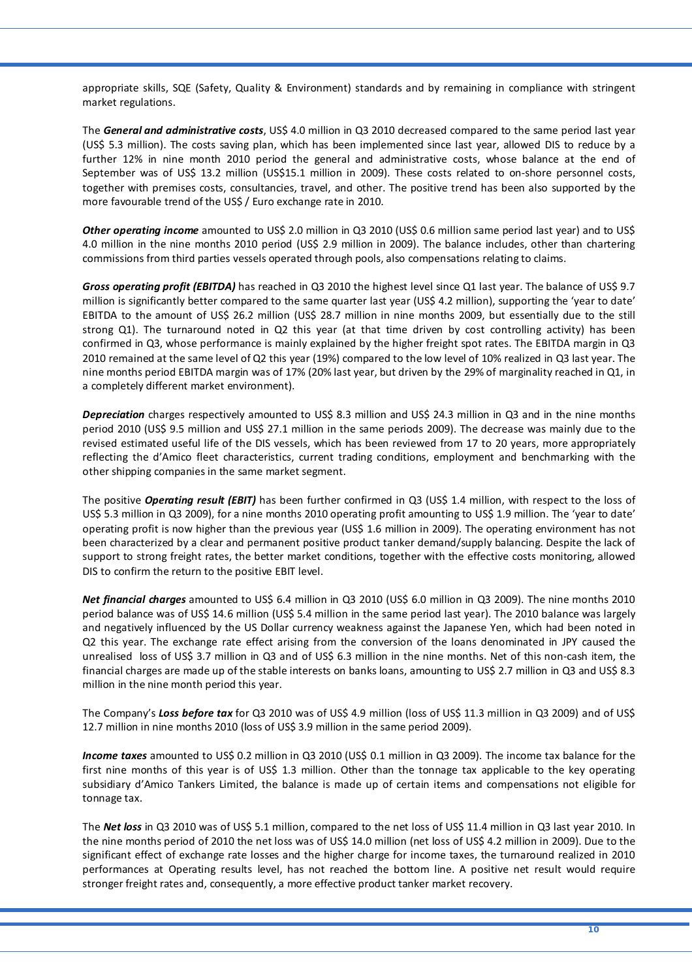appropriate skills, SQE (Safety, Quality & Environment) standards and by remaining in compliance with stringent market regulations.

The *General and administrative costs*, US\$ 4.0 million in Q3 2010 decreased compared to the same period last year (US\$ 5.3 million). The costs saving plan, which has been implemented since last year, allowed DIS to reduce by a further 12% in nine month 2010 period the general and administrative costs, whose balance at the end of September was of US\$ 13.2 million (US\$15.1 million in 2009). These costs related to on-shore personnel costs, together with premises costs, consultancies, travel, and other. The positive trend has been also supported by the more favourable trend of the US\$ / Euro exchange rate in 2010.

*Other operating income* amounted to US\$ 2.0 million in Q3 2010 (US\$ 0.6 million same period last year) and to US\$ 4.0 million in the nine months 2010 period (US\$ 2.9 million in 2009). The balance includes, other than chartering commissions from third parties vessels operated through pools, also compensations relating to claims.

*Gross operating profit (EBITDA)* has reached in Q3 2010 the highest level since Q1 last year. The balance of US\$ 9.7 million is significantly better compared to the same quarter last year (US\$ 4.2 million), supporting the 'year to date' EBITDA to the amount of US\$ 26.2 million (US\$ 28.7 million in nine months 2009, but essentially due to the still strong Q1). The turnaround noted in Q2 this year (at that time driven by cost controlling activity) has been confirmed in Q3, whose performance is mainly explained by the higher freight spot rates. The EBITDA margin in Q3 2010 remained at the same level of Q2 this year (19%) compared to the low level of 10% realized in Q3 last year. The nine months period EBITDA margin was of 17% (20% last year, but driven by the 29% of marginality reached in Q1, in a completely different market environment).

*Depreciation* charges respectively amounted to US\$ 8.3 million and US\$ 24.3 million in Q3 and in the nine months period 2010 (US\$ 9.5 million and US\$ 27.1 million in the same periods 2009). The decrease was mainly due to the revised estimated useful life of the DIS vessels, which has been reviewed from 17 to 20 years, more appropriately reflecting the d'Amico fleet characteristics, current trading conditions, employment and benchmarking with the other shipping companies in the same market segment.

The positive **Operating result (EBIT)** has been further confirmed in Q3 (US\$ 1.4 million, with respect to the loss of US\$ 5.3 million in Q3 2009), for a nine months 2010 operating profit amounting to US\$ 1.9 million. The 'year to date' operating profit is now higher than the previous year (US\$ 1.6 million in 2009). The operating environment has not been characterized by a clear and permanent positive product tanker demand/supply balancing. Despite the lack of support to strong freight rates, the better market conditions, together with the effective costs monitoring, allowed DIS to confirm the return to the positive EBIT level.

*Net financial charges* amounted to US\$ 6.4 million in Q3 2010 (US\$ 6.0 million in Q3 2009). The nine months 2010 period balance was of US\$ 14.6 million (US\$ 5.4 million in the same period last year). The 2010 balance was largely and negatively influenced by the US Dollar currency weakness against the Japanese Yen, which had been noted in Q2 this year. The exchange rate effect arising from the conversion of the loans denominated in JPY caused the unrealised loss of US\$ 3.7 million in Q3 and of US\$ 6.3 million in the nine months. Net of this non-cash item, the financial charges are made up of the stable interests on banks loans, amounting to US\$ 2.7 million in Q3 and US\$ 8.3 million in the nine month period this year.

The Company's *Loss before tax* for Q3 2010 was of US\$ 4.9 million (loss of US\$ 11.3 million in Q3 2009) and of US\$ 12.7 million in nine months 2010 (loss of US\$ 3.9 million in the same period 2009).

*Income taxes* amounted to US\$ 0.2 million in Q3 2010 (US\$ 0.1 million in Q3 2009). The income tax balance for the first nine months of this year is of US\$ 1.3 million. Other than the tonnage tax applicable to the key operating subsidiary d'Amico Tankers Limited, the balance is made up of certain items and compensations not eligible for tonnage tax.

The *Net loss* in Q3 2010 was of US\$ 5.1 million, compared to the net loss of US\$ 11.4 million in Q3 last year 2010. In the nine months period of 2010 the net loss was of US\$ 14.0 million (net loss of US\$ 4.2 million in 2009). Due to the significant effect of exchange rate losses and the higher charge for income taxes, the turnaround realized in 2010 performances at Operating results level, has not reached the bottom line. A positive net result would require stronger freight rates and, consequently, a more effective product tanker market recovery.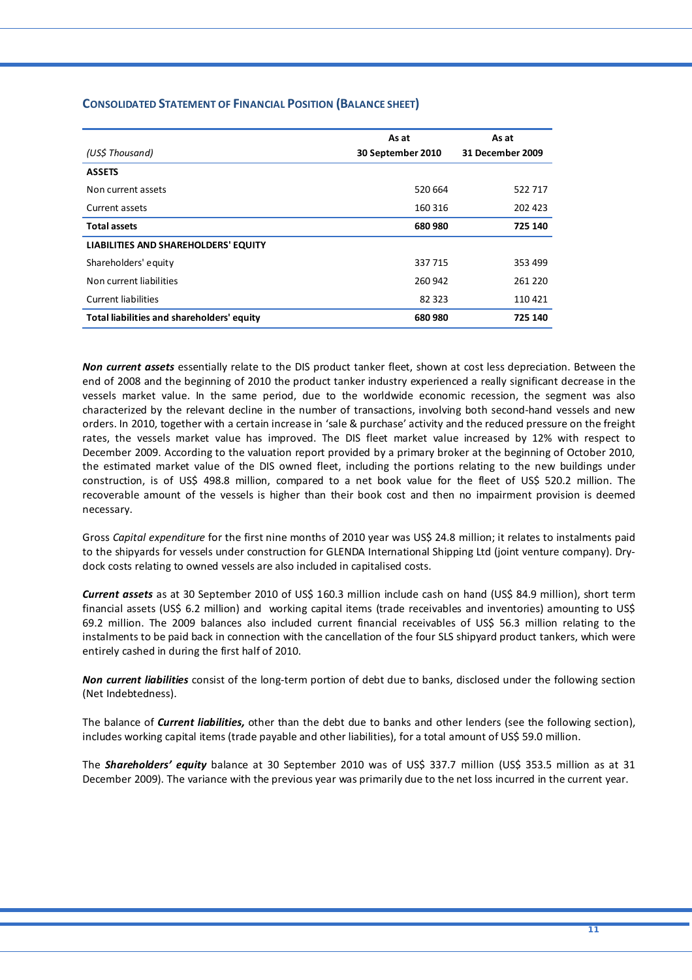|                                            | As at             | As at            |
|--------------------------------------------|-------------------|------------------|
| (US\$ Thousand)                            | 30 September 2010 | 31 December 2009 |
| <b>ASSETS</b>                              |                   |                  |
| Non current assets                         | 520 664           | 522717           |
| Current assets                             | 160 316           | 202 423          |
| <b>Total assets</b>                        | 680 980           | 725 140          |
| LIABILITIES AND SHAREHOLDERS' EQUITY       |                   |                  |
| Shareholders' equity                       | 337715            | 353 499          |
| Non current liabilities                    | 260 942           | 261 220          |
| <b>Current liabilities</b>                 | 82 323            | 110421           |
| Total liabilities and shareholders' equity | 680 980           | 725 140          |

## **CONSOLIDATED STATEMENT OF FINANCIAL POSITION (BALANCE SHEET)**

*Non current assets* essentially relate to the DIS product tanker fleet, shown at cost less depreciation. Between the end of 2008 and the beginning of 2010 the product tanker industry experienced a really significant decrease in the vessels market value. In the same period, due to the worldwide economic recession, the segment was also characterized by the relevant decline in the number of transactions, involving both second‐hand vessels and new orders. In 2010, together with a certain increase in 'sale & purchase' activity and the reduced pressure on the freight rates, the vessels market value has improved. The DIS fleet market value increased by 12% with respect to December 2009. According to the valuation report provided by a primary broker at the beginning of October 2010, the estimated market value of the DIS owned fleet, including the portions relating to the new buildings under construction, is of US\$ 498.8 million, compared to a net book value for the fleet of US\$ 520.2 million. The recoverable amount of the vessels is higher than their book cost and then no impairment provision is deemed necessary.

Gross *Capital expenditure* for the first nine months of 2010 year was US\$ 24.8 million; it relates to instalments paid to the shipyards for vessels under construction for GLENDA International Shipping Ltd (joint venture company). Dry‐ dock costs relating to owned vessels are also included in capitalised costs.

*Current assets* as at 30 September 2010 of US\$ 160.3 million include cash on hand (US\$ 84.9 million), short term financial assets (US\$ 6.2 million) and working capital items (trade receivables and inventories) amounting to US\$ 69.2 million. The 2009 balances also included current financial receivables of US\$ 56.3 million relating to the instalments to be paid back in connection with the cancellation of the four SLS shipyard product tankers, which were entirely cashed in during the first half of 2010.

*Non current liabilities* consist of the long‐term portion of debt due to banks, disclosed under the following section (Net Indebtedness).

The balance of *Current liabilities,* other than the debt due to banks and other lenders (see the following section), includes working capital items (trade payable and other liabilities), for a total amount of US\$ 59.0 million.

The *Shareholders' equity* balance at 30 September 2010 was of US\$ 337.7 million (US\$ 353.5 million as at 31 December 2009). The variance with the previous year was primarily due to the net loss incurred in the current year.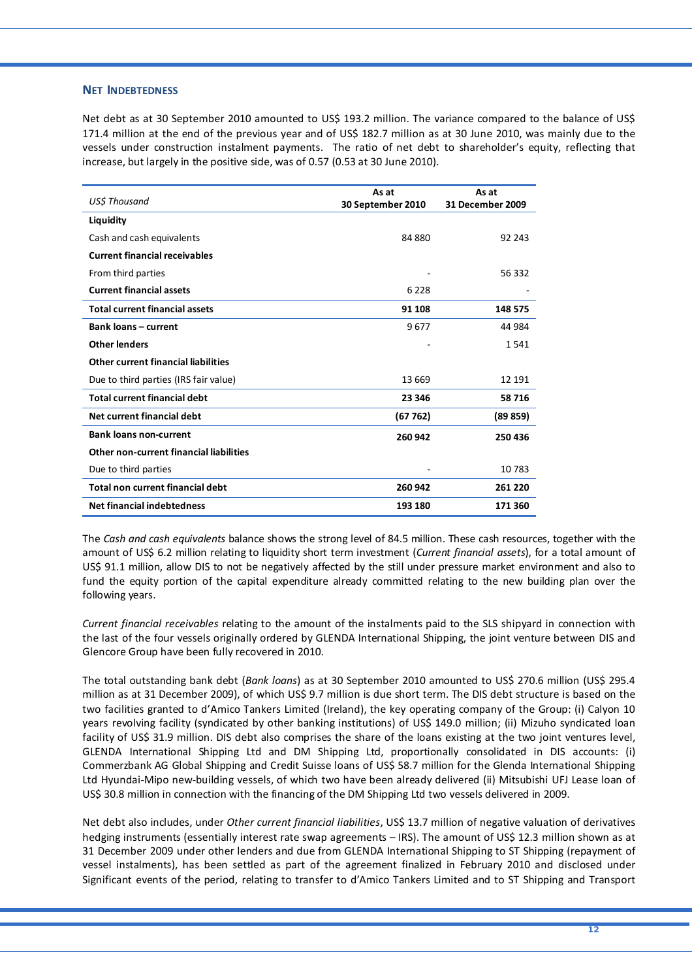#### **NET INDEBTEDNESS**

Net debt as at 30 September 2010 amounted to US\$ 193.2 million. The variance compared to the balance of US\$ 171.4 million at the end of the previous year and of US\$ 182.7 million as at 30 June 2010, was mainly due to the vessels under construction instalment payments. The ratio of net debt to shareholder's equity, reflecting that increase, but largely in the positive side, was of 0.57 (0.53 at 30 June 2010).

|                                            | As at             | As at                   |
|--------------------------------------------|-------------------|-------------------------|
| US\$ Thousand                              | 30 September 2010 | <b>31 December 2009</b> |
| Liquidity                                  |                   |                         |
| Cash and cash equivalents                  | 84 880            | 92 243                  |
| <b>Current financial receivables</b>       |                   |                         |
| From third parties                         |                   | 56 332                  |
| <b>Current financial assets</b>            | 6 2 2 8           |                         |
| <b>Total current financial assets</b>      | 91 108            | 148 575                 |
| <b>Bank loans - current</b>                | 9677              | 44 984                  |
| <b>Other lenders</b>                       |                   | 1541                    |
| <b>Other current financial liabilities</b> |                   |                         |
| Due to third parties (IRS fair value)      | 13 669            | 12 191                  |
| <b>Total current financial debt</b>        | 23 346            | 58716                   |
| Net current financial debt                 | (67762)           | (89 859)                |
| <b>Bank loans non-current</b>              | 260 942           | 250 436                 |
| Other non-current financial liabilities    |                   |                         |
| Due to third parties                       |                   | 10783                   |
| Total non current financial debt           | 260 942           | 261 220                 |
| <b>Net financial indebtedness</b>          | 193 180           | 171 360                 |

The *Cash and cash equivalents* balance shows the strong level of 84.5 million. These cash resources, together with the amount of US\$ 6.2 million relating to liquidity short term investment (*Current financial assets*), for a total amount of US\$ 91.1 million, allow DIS to not be negatively affected by the still under pressure market environment and also to fund the equity portion of the capital expenditure already committed relating to the new building plan over the following years.

*Current financial receivables* relating to the amount of the instalments paid to the SLS shipyard in connection with the last of the four vessels originally ordered by GLENDA International Shipping, the joint venture between DIS and Glencore Group have been fully recovered in 2010.

The total outstanding bank debt (*Bank loans*) as at 30 September 2010 amounted to US\$ 270.6 million (US\$ 295.4 million as at 31 December 2009), of which US\$ 9.7 million is due short term. The DIS debt structure is based on the two facilities granted to d'Amico Tankers Limited (Ireland), the key operating company of the Group: (i) Calyon 10 years revolving facility (syndicated by other banking institutions) of US\$ 149.0 million; (ii) Mizuho syndicated loan facility of US\$ 31.9 million. DIS debt also comprises the share of the loans existing at the two joint ventures level, GLENDA International Shipping Ltd and DM Shipping Ltd, proportionally consolidated in DIS accounts: (i) Commerzbank AG Global Shipping and Credit Suisse loans of US\$ 58.7 million for the Glenda International Shipping Ltd Hyundai‐Mipo new‐building vessels, of which two have been already delivered (ii) Mitsubishi UFJ Lease loan of US\$ 30.8 million in connection with the financing of the DM Shipping Ltd two vessels delivered in 2009.

Net debt also includes, under *Other current financial liabilities*, US\$ 13.7 million of negative valuation of derivatives hedging instruments (essentially interest rate swap agreements – IRS). The amount of US\$ 12.3 million shown as at 31 December 2009 under other lenders and due from GLENDA International Shipping to ST Shipping (repayment of vessel instalments), has been settled as part of the agreement finalized in February 2010 and disclosed under Significant events of the period, relating to transfer to d'Amico Tankers Limited and to ST Shipping and Transport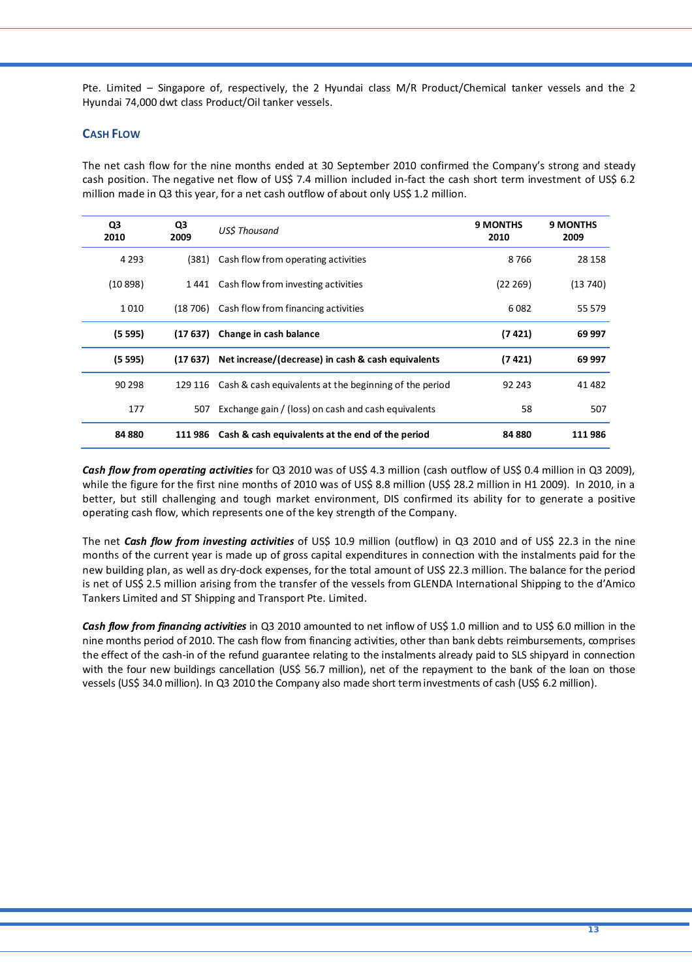Pte. Limited – Singapore of, respectively, the 2 Hyundai class M/R Product/Chemical tanker vessels and the 2 Hyundai 74,000 dwt class Product/Oil tanker vessels.

## **CASH FLOW**

The net cash flow for the nine months ended at 30 September 2010 confirmed the Company's strong and steady cash position. The negative net flow of US\$ 7.4 million included in-fact the cash short term investment of US\$ 6.2 million made in Q3 this year, for a net cash outflow of about only US\$ 1.2 million.

| Q3<br>2010 | Q3<br>2009 | USS Thousand                                           | <b>9 MONTHS</b><br>2010 | <b>9 MONTHS</b><br>2009 |
|------------|------------|--------------------------------------------------------|-------------------------|-------------------------|
| 4 2 9 3    | (381)      | Cash flow from operating activities                    | 8766                    | 28 158                  |
| (10898)    | 1 441      | Cash flow from investing activities                    | (22 269)                | (13740)                 |
| 1010       |            | (18 706) Cash flow from financing activities           | 6082                    | 55 579                  |
| (5595)     | (17 637)   | Change in cash balance                                 | (7 4 21)                | 69 997                  |
| (5595)     | (17 637)   | Net increase/(decrease) in cash & cash equivalents     | (7 421)                 | 69 997                  |
| 90 298     | 129 116    | Cash & cash equivalents at the beginning of the period | 92 243                  | 41 482                  |
| 177        | 507        | Exchange gain / (loss) on cash and cash equivalents    | 58                      | 507                     |
| 84 880     | 111 986    | Cash & cash equivalents at the end of the period       | 84 880                  | 111 986                 |

*Cash flow from operating activities* for Q3 2010 was of US\$ 4.3 million (cash outflow of US\$ 0.4 million in Q3 2009), while the figure for the first nine months of 2010 was of US\$ 8.8 million (US\$ 28.2 million in H1 2009). In 2010, in a better, but still challenging and tough market environment, DIS confirmed its ability for to generate a positive operating cash flow, which represents one of the key strength of the Company.

The net *Cash flow from investing activities* of US\$ 10.9 million (outflow) in Q3 2010 and of US\$ 22.3 in the nine months of the current year is made up of gross capital expenditures in connection with the instalments paid for the new building plan, as well as dry‐dock expenses, for the total amount of US\$ 22.3 million. The balance for the period is net of US\$ 2.5 million arising from the transfer of the vessels from GLENDA International Shipping to the d'Amico Tankers Limited and ST Shipping and Transport Pte. Limited.

*Cash flow from financing activities* in Q3 2010 amounted to net inflow of US\$ 1.0 million and to US\$ 6.0 million in the nine months period of 2010. The cash flow from financing activities, other than bank debts reimbursements, comprises the effect of the cash‐in of the refund guarantee relating to the instalments already paid to SLS shipyard in connection with the four new buildings cancellation (US\$ 56.7 million), net of the repayment to the bank of the loan on those vessels (US\$ 34.0 million). In Q3 2010 the Company also made short terminvestments of cash (US\$ 6.2 million).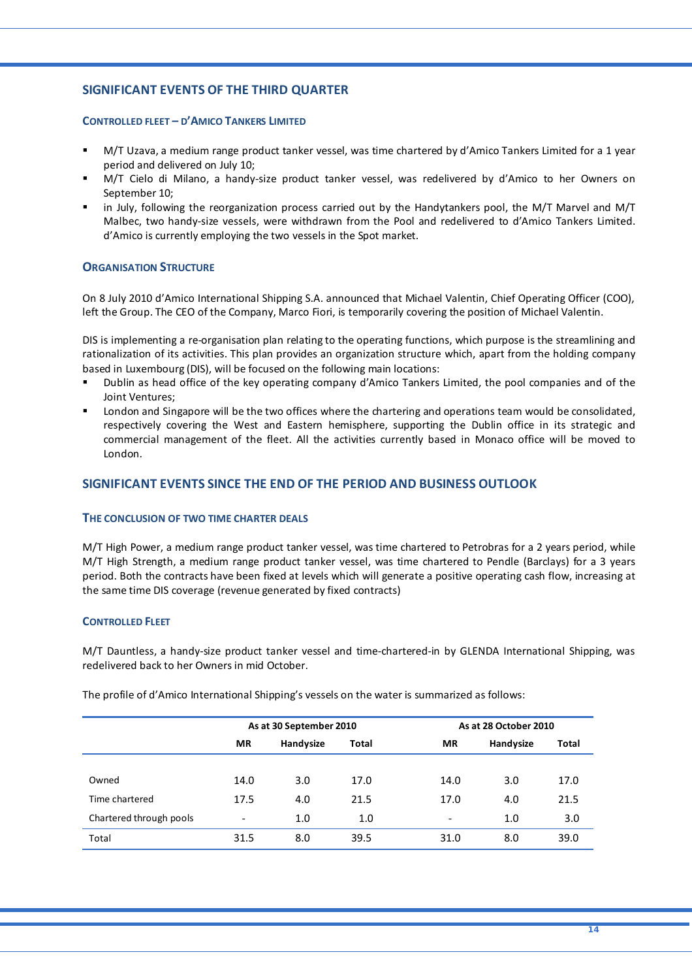## **SIGNIFICANT EVENTS OF THE THIRD QUARTER**

#### **CONTROLLED FLEET – D'AMICO TANKERS LIMITED**

- M/T Uzava, a medium range product tanker vessel, was time chartered by d'Amico Tankers Limited for a 1 year period and delivered on July 10;
- M/T Cielo di Milano, a handy‐size product tanker vessel, was redelivered by d'Amico to her Owners on September 10;
- in July, following the reorganization process carried out by the Handytankers pool, the M/T Marvel and M/T Malbec, two handy‐size vessels, were withdrawn from the Pool and redelivered to d'Amico Tankers Limited. d'Amico is currently employing the two vessels in the Spot market.

## **ORGANISATION STRUCTURE**

On 8 July 2010 d'Amico International Shipping S.A. announced that Michael Valentin, Chief Operating Officer (COO), left the Group. The CEO of the Company, Marco Fiori, is temporarily covering the position of Michael Valentin.

DIS is implementing a re‐organisation plan relating to the operating functions, which purpose is the streamlining and rationalization of its activities. This plan provides an organization structure which, apart from the holding company based in Luxembourg (DIS), will be focused on the following main locations:

- Dublin as head office of the key operating company d'Amico Tankers Limited, the pool companies and of the Joint Ventures;
- London and Singapore will be the two offices where the chartering and operations team would be consolidated, respectively covering the West and Eastern hemisphere, supporting the Dublin office in its strategic and commercial management of the fleet. All the activities currently based in Monaco office will be moved to London.

## **SIGNIFICANT EVENTS SINCE THE END OF THE PERIOD AND BUSINESS OUTLOOK**

## **THE CONCLUSION OF TWO TIME CHARTER DEALS**

M/T High Power, a medium range product tanker vessel, was time chartered to Petrobras for a 2 years period, while M/T High Strength, a medium range product tanker vessel, was time chartered to Pendle (Barclays) for a 3 years period. Both the contracts have been fixed at levels which will generate a positive operating cash flow, increasing at the same time DIS coverage (revenue generated by fixed contracts)

#### **CONTROLLED FLEET**

M/T Dauntless, a handy‐size product tanker vessel and time‐chartered‐in by GLENDA International Shipping, was redelivered back to her Owners in mid October.

The profile of d'Amico International Shipping's vessels on the water is summarized as follows:

|                         | As at 30 September 2010  |           |       | As at 28 October 2010    |           |       |
|-------------------------|--------------------------|-----------|-------|--------------------------|-----------|-------|
|                         | <b>MR</b>                | Handysize | Total | <b>MR</b>                | Handysize | Total |
|                         |                          |           |       |                          |           |       |
| Owned                   | 14.0                     | 3.0       | 17.0  | 14.0                     | 3.0       | 17.0  |
| Time chartered          | 17.5                     | 4.0       | 21.5  | 17.0                     | 4.0       | 21.5  |
| Chartered through pools | $\overline{\phantom{a}}$ | 1.0       | 1.0   | $\overline{\phantom{a}}$ | 1.0       | 3.0   |
| Total                   | 31.5                     | 8.0       | 39.5  | 31.0                     | 8.0       | 39.0  |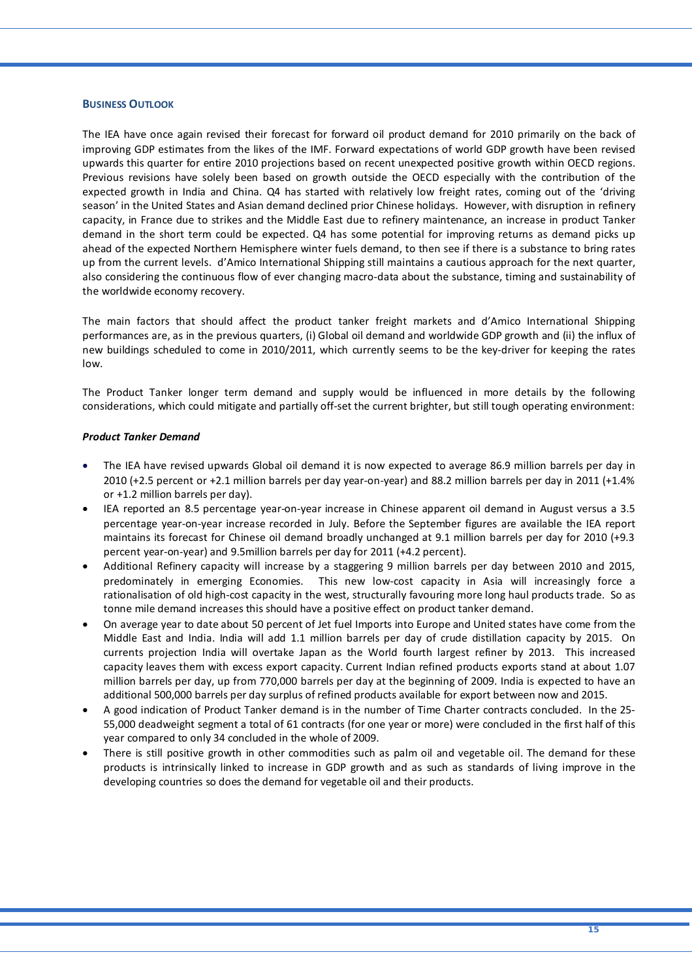#### **BUSINESS OUTLOOK**

The IEA have once again revised their forecast for forward oil product demand for 2010 primarily on the back of improving GDP estimates from the likes of the IMF. Forward expectations of world GDP growth have been revised upwards this quarter for entire 2010 projections based on recent unexpected positive growth within OECD regions. Previous revisions have solely been based on growth outside the OECD especially with the contribution of the expected growth in India and China. Q4 has started with relatively low freight rates, coming out of the 'driving season' in the United States and Asian demand declined prior Chinese holidays. However, with disruption in refinery capacity, in France due to strikes and the Middle East due to refinery maintenance, an increase in product Tanker demand in the short term could be expected. Q4 has some potential for improving returns as demand picks up ahead of the expected Northern Hemisphere winter fuels demand, to then see if there is a substance to bring rates up from the current levels. d'Amico International Shipping still maintains a cautious approach for the next quarter, also considering the continuous flow of ever changing macro-data about the substance, timing and sustainability of the worldwide economy recovery.

The main factors that should affect the product tanker freight markets and d'Amico International Shipping performances are, as in the previous quarters, (i) Global oil demand and worldwide GDP growth and (ii) the influx of new buildings scheduled to come in 2010/2011, which currently seems to be the key-driver for keeping the rates low.

The Product Tanker longer term demand and supply would be influenced in more details by the following considerations, which could mitigate and partially off-set the current brighter, but still tough operating environment:

#### *Product Tanker Demand*

- The IEA have revised upwards Global oil demand it is now expected to average 86.9 million barrels per day in 2010 (+2.5 percent or +2.1 million barrels per day year‐on‐year) and 88.2 million barrels per day in 2011 (+1.4% or +1.2 million barrels per day).
- IEA reported an 8.5 percentage year‐on‐year increase in Chinese apparent oil demand in August versus a 3.5 percentage year‐on‐year increase recorded in July. Before the September figures are available the IEA report maintains its forecast for Chinese oil demand broadly unchanged at 9.1 million barrels per day for 2010 (+9.3 percent year‐on‐year) and 9.5million barrels per day for 2011 (+4.2 percent).
- Additional Refinery capacity will increase by a staggering 9 million barrels per day between 2010 and 2015, predominately in emerging Economies. This new low‐cost capacity in Asia will increasingly force a rationalisation of old high‐cost capacity in the west, structurally favouring more long haul products trade. So as tonne mile demand increases this should have a positive effect on product tanker demand.
- On average year to date about 50 percent of Jet fuel Imports into Europe and United states have come from the Middle East and India. India will add 1.1 million barrels per day of crude distillation capacity by 2015. On currents projection India will overtake Japan as the World fourth largest refiner by 2013. This increased capacity leaves them with excess export capacity. Current Indian refined products exports stand at about 1.07 million barrels per day, up from 770,000 barrels per day at the beginning of 2009. India is expected to have an additional 500,000 barrels per day surplus of refined products available for export between now and 2015.
- A good indication of Product Tanker demand is in the number of Time Charter contracts concluded. In the 25‐ 55,000 deadweight segment a total of 61 contracts (for one year or more) were concluded in the first half of this year compared to only 34 concluded in the whole of 2009.
- There is still positive growth in other commodities such as palm oil and vegetable oil. The demand for these products is intrinsically linked to increase in GDP growth and as such as standards of living improve in the developing countries so does the demand for vegetable oil and their products.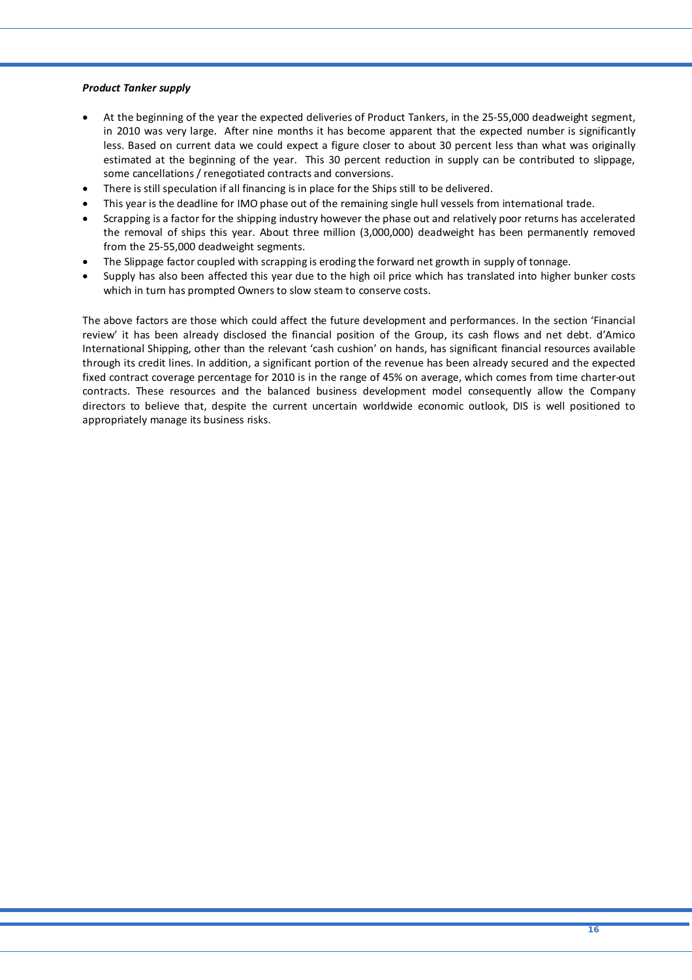#### *Product Tanker supply*

- At the beginning of the year the expected deliveries of Product Tankers, in the 25‐55,000 deadweight segment, in 2010 was very large. After nine months it has become apparent that the expected number is significantly less. Based on current data we could expect a figure closer to about 30 percent less than what was originally estimated at the beginning of the year. This 30 percent reduction in supply can be contributed to slippage, some cancellations / renegotiated contracts and conversions.
- There is still speculation if all financing is in place for the Ships still to be delivered.
- This year is the deadline for IMO phase out of the remaining single hull vessels from international trade.
- Scrapping is a factor for the shipping industry however the phase out and relatively poor returns has accelerated the removal of ships this year. About three million (3,000,000) deadweight has been permanently removed from the 25‐55,000 deadweight segments.
- The Slippage factor coupled with scrapping is eroding the forward net growth in supply of tonnage.
- Supply has also been affected this year due to the high oil price which has translated into higher bunker costs which in turn has prompted Owners to slow steam to conserve costs.

The above factors are those which could affect the future development and performances. In the section 'Financial review' it has been already disclosed the financial position of the Group, its cash flows and net debt. d'Amico International Shipping, other than the relevant 'cash cushion' on hands, has significant financial resources available through its credit lines. In addition, a significant portion of the revenue has been already secured and the expected fixed contract coverage percentage for 2010 is in the range of 45% on average, which comes from time charter-out contracts. These resources and the balanced business development model consequently allow the Company directors to believe that, despite the current uncertain worldwide economic outlook, DIS is well positioned to appropriately manage its business risks.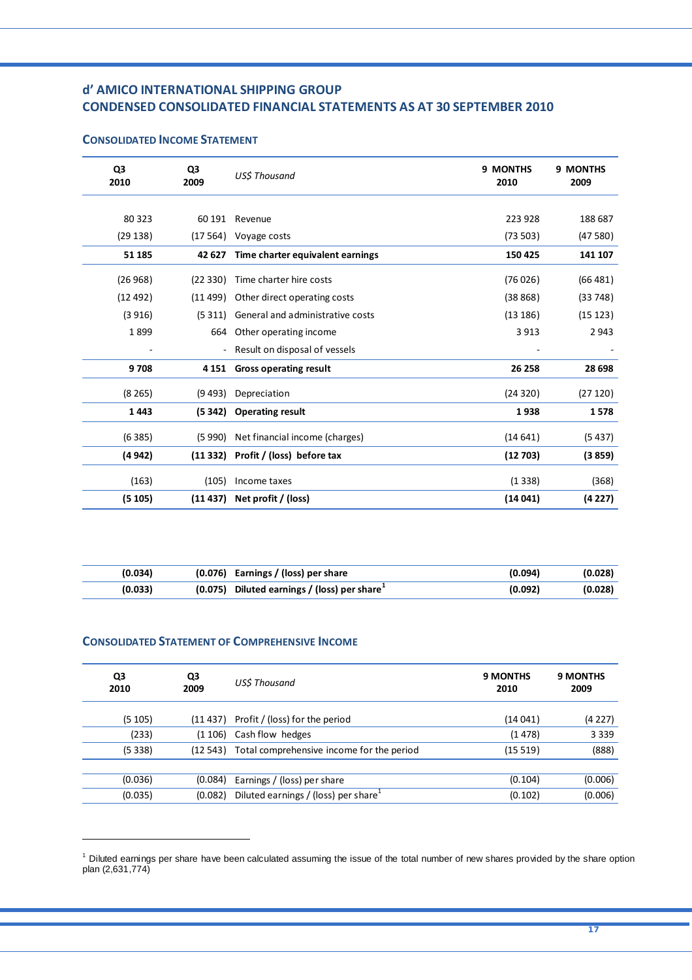## **d' AMICO INTERNATIONAL SHIPPING GROUP CONDENSED CONSOLIDATED FINANCIAL STATEMENTS AS AT 30 SEPTEMBER 2010**

| Q3<br>2010 | Q3<br>2009 | <b>USS Thousand</b>                 | 9 MONTHS<br>2010 | 9 MONTHS<br>2009 |
|------------|------------|-------------------------------------|------------------|------------------|
|            |            |                                     |                  |                  |
| 80 323     | 60 191     | Revenue                             | 223 928          | 188 687          |
| (29138)    |            | (17 564) Voyage costs               | (73503)          | (47580)          |
| 51 185     | 42 627     | Time charter equivalent earnings    | 150 425          | 141 107          |
| (26968)    | (22330)    | Time charter hire costs             | (76026)          | (66 481)         |
| (12492)    | (11 499)   | Other direct operating costs        | (38868)          | (33748)          |
| (3916)     | (5311)     | General and administrative costs    | (13186)          | (15 123)         |
| 1899       | 664        | Other operating income              | 3913             | 2943             |
|            |            | Result on disposal of vessels       |                  |                  |
| 9708       | 4 1 5 1    | <b>Gross operating result</b>       | 26 258           | 28 698           |
| (8265)     | (9493)     | Depreciation                        | (24320)          | (27120)          |
| 1443       | (5342)     | <b>Operating result</b>             | 1938             | 1578             |
| (6385)     | (5990)     | Net financial income (charges)      | (14641)          | (5437)           |
| (4 942)    |            | (11 332) Profit / (loss) before tax | (12703)          | (3859)           |
| (163)      | (105)      | Income taxes                        | (1338)           | (368)            |
| (5105)     | (11 437)   | Net profit / (loss)                 | (14041)          | (4 2 27)         |

## **CONSOLIDATED INCOME STATEMENT**

| (0.034) | $(0.076)$ Earnings / (loss) per share         | (0.094) | (0.028) |
|---------|-----------------------------------------------|---------|---------|
| (0.033) | $(0.075)$ Diluted earnings / (loss) per share | (0.092) | (0.028) |

## **CONSOLIDATED STATEMENT OF COMPREHENSIVE INCOME**

 $\overline{a}$ 

| QЗ<br>2009 | US\$ Thousand                                    | <b>9 MONTHS</b><br>2010                                                                | <b>9 MONTHS</b><br>2009 |
|------------|--------------------------------------------------|----------------------------------------------------------------------------------------|-------------------------|
|            |                                                  | (14041)                                                                                | (4 2 2 7 )              |
| (1106)     | Cash flow hedges                                 | (1478)                                                                                 | 3 3 3 9                 |
| (12543)    |                                                  | (15519)                                                                                | (888)                   |
|            |                                                  |                                                                                        |                         |
| (0.084)    | Earnings / (loss) per share                      | (0.104)                                                                                | (0.006)                 |
| (0.082)    | Diluted earnings / (loss) per share <sup>1</sup> | (0.102)                                                                                | (0.006)                 |
|            |                                                  | $(11 437)$ Profit / (loss) for the period<br>Total comprehensive income for the period |                         |

<sup>&</sup>lt;sup>1</sup> Diluted earnings per share have been calculated assuming the issue of the total number of new shares provided by the share option plan (2,631,774)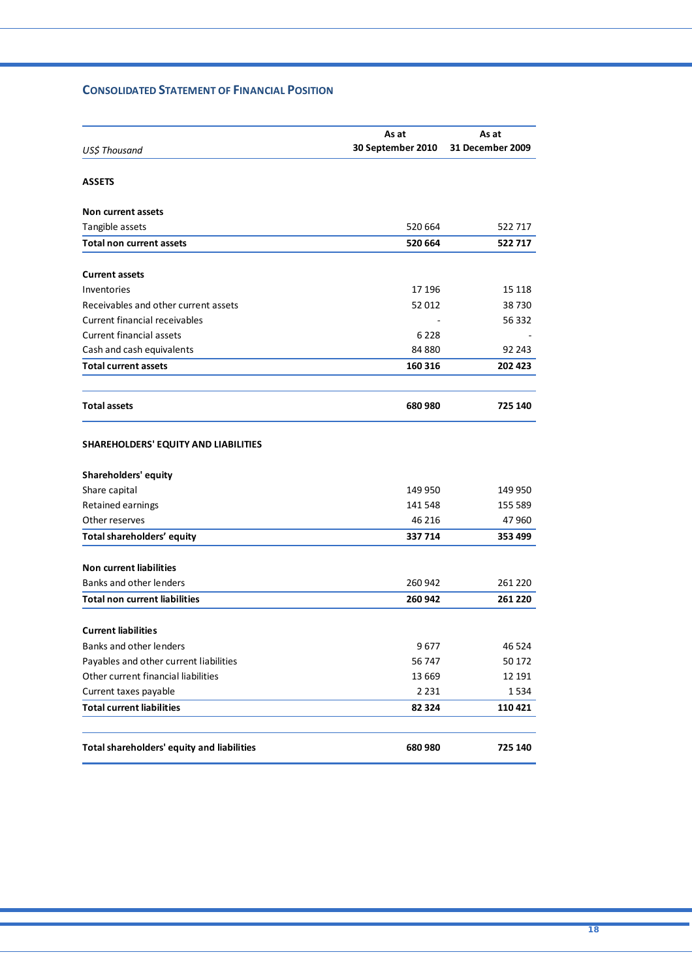## **CONSOLIDATED STATEMENT OF FINANCIAL POSITION**

|                                            | As at             | As at            |
|--------------------------------------------|-------------------|------------------|
| US\$ Thousand                              | 30 September 2010 | 31 December 2009 |
|                                            |                   |                  |
| <b>ASSETS</b>                              |                   |                  |
| <b>Non current assets</b>                  |                   |                  |
| Tangible assets                            | 520 664           | 522 717          |
| <b>Total non current assets</b>            | 520 664           | 522717           |
|                                            |                   |                  |
| <b>Current assets</b>                      |                   |                  |
| Inventories                                | 17 196            | 15 118           |
| Receivables and other current assets       | 52 012            | 38730            |
| <b>Current financial receivables</b>       |                   | 56 332           |
| <b>Current financial assets</b>            | 6 2 2 8           |                  |
| Cash and cash equivalents                  | 84 880            | 92 243           |
| <b>Total current assets</b>                | 160 316           | 202 423          |
| <b>Total assets</b>                        | 680 980           | 725 140          |
| SHAREHOLDERS' EQUITY AND LIABILITIES       |                   |                  |
| <b>Shareholders' equity</b>                |                   |                  |
| Share capital                              | 149 950           | 149 950          |
| Retained earnings                          | 141 548           | 155 589          |
| Other reserves                             | 46 216            | 47 960           |
| Total shareholders' equity                 | 337 714           | 353 499          |
| <b>Non current liabilities</b>             |                   |                  |
| Banks and other lenders                    | 260 942           | 261 220          |
| <b>Total non current liabilities</b>       | 260 942           | 261 220          |
| <b>Current liabilities</b>                 |                   |                  |
| Banks and other lenders                    | 9677              | 46 5 24          |
| Payables and other current liabilities     | 56747             | 50 172           |
| Other current financial liabilities        | 13 669            | 12 191           |
| Current taxes payable                      | 2 2 3 1           | 1534             |
| <b>Total current liabilities</b>           | 82 324            | 110 421          |
|                                            |                   |                  |
| Total shareholders' equity and liabilities | 680 980           | 725 140          |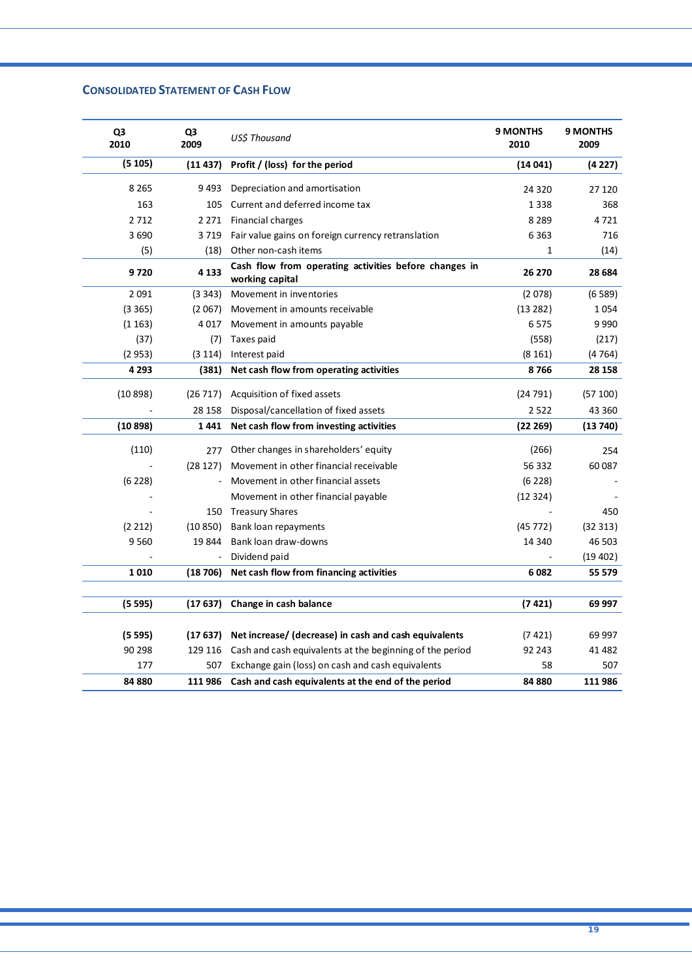## **CONSOLIDATED STATEMENT OF CASH FLOW**

| Q3<br>2010 | Q <sub>3</sub><br>2009 | US\$ Thousand                                                            | <b>9 MONTHS</b><br>2010 | <b>9 MONTHS</b><br>2009 |
|------------|------------------------|--------------------------------------------------------------------------|-------------------------|-------------------------|
| (5105)     | (11437)                | Profit / (loss) for the period                                           | (14041)                 | (4227)                  |
| 8 2 6 5    | 9493                   | Depreciation and amortisation                                            | 24 3 20                 | 27 120                  |
| 163        | 105                    | Current and deferred income tax                                          | 1338                    | 368                     |
| 2712       | 2 2 7 1                | Financial charges                                                        | 8 2 8 9                 | 4721                    |
| 3690       | 3719                   | Fair value gains on foreign currency retranslation                       | 6363                    | 716                     |
| (5)        | (18)                   | Other non-cash items                                                     | 1                       | (14)                    |
| 9720       | 4 1 3 3                | Cash flow from operating activities before changes in<br>working capital | 26 270                  | 28 684                  |
| 2 0 9 1    | (3343)                 | Movement in inventories                                                  | (2078)                  | (6589)                  |
| (3365)     | (2067)                 | Movement in amounts receivable                                           | (13 282)                | 1054                    |
| (1163)     | 4017                   | Movement in amounts payable                                              | 6575                    | 9990                    |
| (37)       | (7)                    | Taxes paid                                                               | (558)                   | (217)                   |
| (2953)     | (3114)                 | Interest paid                                                            | (8161)                  | (4764)                  |
| 4 2 9 3    | (381)                  | Net cash flow from operating activities                                  | 8766                    | 28 158                  |
| (10898)    | (26717)                | Acquisition of fixed assets                                              | (24791)                 | (57100)                 |
|            | 28 158                 | Disposal/cancellation of fixed assets                                    | 2522                    | 43 360                  |
| (10898)    | 1441                   | Net cash flow from investing activities                                  | (22269)                 | (13740)                 |
|            |                        |                                                                          |                         |                         |
| (110)      | 277                    | Other changes in shareholders' equity                                    | (266)                   | 254                     |
|            | (28127)                | Movement in other financial receivable                                   | 56 332                  | 60 087                  |
| (6228)     |                        | Movement in other financial assets                                       | (6 228)                 |                         |
|            |                        | Movement in other financial payable                                      | (12324)                 |                         |
|            |                        | 150 Treasury Shares                                                      |                         | 450                     |
| (2 212)    | (10 850)               | Bank loan repayments                                                     | (45772)                 | (32313)                 |
| 9560       | 19 844                 | Bank loan draw-downs                                                     | 14 340                  | 46 503                  |
|            |                        | Dividend paid                                                            |                         | (19 402)                |
| 1010       | (18706)                | Net cash flow from financing activities                                  | 6082                    | 55 579                  |
|            |                        |                                                                          |                         |                         |
| (5595)     | (17637)                | Change in cash balance                                                   | (7 421)                 | 69 997                  |
| (5595)     | (17637)                | Net increase/ (decrease) in cash and cash equivalents                    | (7421)                  | 69 997                  |
| 90 298     |                        | 129 116 Cash and cash equivalents at the beginning of the period         | 92 243                  | 41 482                  |
| 177        |                        | 507 Exchange gain (loss) on cash and cash equivalents                    | 58                      | 507                     |
| 84 880     | 111 986                | Cash and cash equivalents at the end of the period                       | 84 880                  | 111 986                 |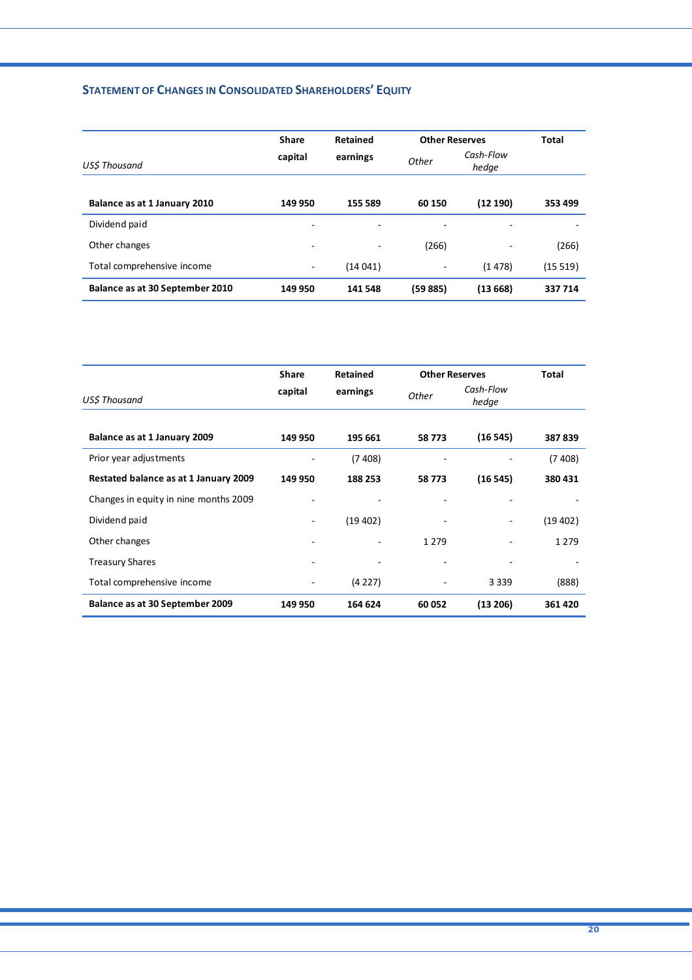## **STATEMENT OF CHANGES IN CONSOLIDATED SHAREHOLDERS' EQUITY**

|                                 | <b>Share</b> | Retained | <b>Other Reserves</b> |                    | Total   |
|---------------------------------|--------------|----------|-----------------------|--------------------|---------|
| <b>USS Thousand</b>             | capital      | earnings | Other                 | Cash-Flow<br>hedge |         |
| Balance as at 1 January 2010    | 149 950      | 155 589  | 60 150                | (12190)            | 353 499 |
| Dividend paid                   | ٠            |          |                       |                    |         |
| Other changes                   | ٠            | -        | (266)                 |                    | (266)   |
| Total comprehensive income      | -            | (14041)  |                       | (1478)             | (15519) |
| Balance as at 30 September 2010 | 149 950      | 141 548  | (59885)               | (13668)            | 337 714 |

|                                       | <b>Share</b>                 | <b>Retained</b> | <b>Other Reserves</b> |                    | Total    |
|---------------------------------------|------------------------------|-----------------|-----------------------|--------------------|----------|
| US\$ Thousand                         | capital                      | earnings        | <b>Other</b>          | Cash-Flow<br>hedge |          |
| Balance as at 1 January 2009          | 149 950                      | 195 661         | 58773                 | (16545)            | 387839   |
| Prior year adjustments                |                              | (7408)          |                       |                    | (7 408)  |
| Restated balance as at 1 January 2009 | 149 950                      | 188 253         | 58773                 | (16545)            | 380 431  |
| Changes in equity in nine months 2009 |                              |                 |                       |                    |          |
| Dividend paid                         |                              | (19 402)        |                       |                    | (19 402) |
| Other changes                         | $\qquad \qquad \blacksquare$ |                 | 1 2 7 9               |                    | 1 2 7 9  |
| <b>Treasury Shares</b>                |                              | -               |                       |                    |          |
| Total comprehensive income            |                              | (4227)          |                       | 3 3 3 9            | (888)    |
| Balance as at 30 September 2009       | 149 950                      | 164 624         | 60 052                | (13 206)           | 361 420  |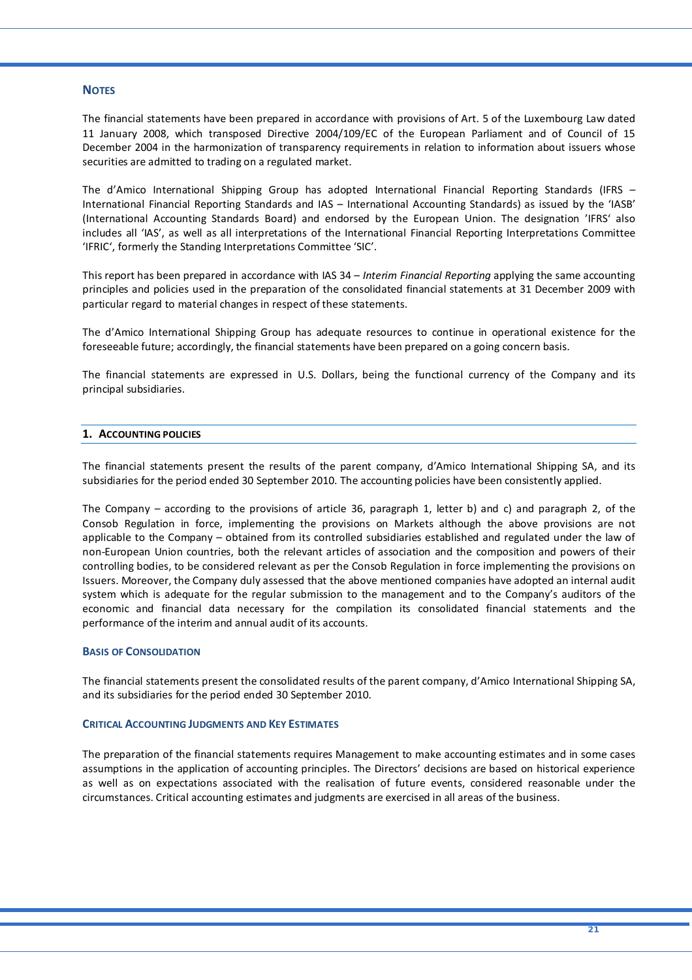## **NOTES**

The financial statements have been prepared in accordance with provisions of Art. 5 of the Luxembourg Law dated 11 January 2008, which transposed Directive 2004/109/EC of the European Parliament and of Council of 15 December 2004 in the harmonization of transparency requirements in relation to information about issuers whose securities are admitted to trading on a regulated market.

The d'Amico International Shipping Group has adopted International Financial Reporting Standards (IFRS – International Financial Reporting Standards and IAS – International Accounting Standards) as issued by the 'IASB' (International Accounting Standards Board) and endorsed by the European Union. The designation 'IFRS' also includes all 'IAS', as well as all interpretations of the International Financial Reporting Interpretations Committee 'IFRIC', formerly the Standing Interpretations Committee 'SIC'.

This report has been prepared in accordance with IAS 34 – *Interim Financial Reporting* applying the same accounting principles and policies used in the preparation of the consolidated financial statements at 31 December 2009 with particular regard to material changes in respect of these statements.

The d'Amico International Shipping Group has adequate resources to continue in operational existence for the foreseeable future; accordingly, the financial statements have been prepared on a going concern basis.

The financial statements are expressed in U.S. Dollars, being the functional currency of the Company and its principal subsidiaries.

#### **1. ACCOUNTING POLICIES**

The financial statements present the results of the parent company, d'Amico International Shipping SA, and its subsidiaries for the period ended 30 September 2010. The accounting policies have been consistently applied.

The Company – according to the provisions of article 36, paragraph 1, letter b) and c) and paragraph 2, of the Consob Regulation in force, implementing the provisions on Markets although the above provisions are not applicable to the Company – obtained from its controlled subsidiaries established and regulated under the law of non‐European Union countries, both the relevant articles of association and the composition and powers of their controlling bodies, to be considered relevant as per the Consob Regulation in force implementing the provisions on Issuers. Moreover, the Company duly assessed that the above mentioned companies have adopted an internal audit system which is adequate for the regular submission to the management and to the Company's auditors of the economic and financial data necessary for the compilation its consolidated financial statements and the performance of the interim and annual audit of its accounts.

#### **BASIS OF CONSOLIDATION**

The financial statements present the consolidated results of the parent company, d'Amico International Shipping SA, and its subsidiaries for the period ended 30 September 2010.

#### **CRITICAL ACCOUNTING JUDGMENTS AND KEY ESTIMATES**

The preparation of the financial statements requires Management to make accounting estimates and in some cases assumptions in the application of accounting principles. The Directors' decisions are based on historical experience as well as on expectations associated with the realisation of future events, considered reasonable under the circumstances. Critical accounting estimates and judgments are exercised in all areas of the business.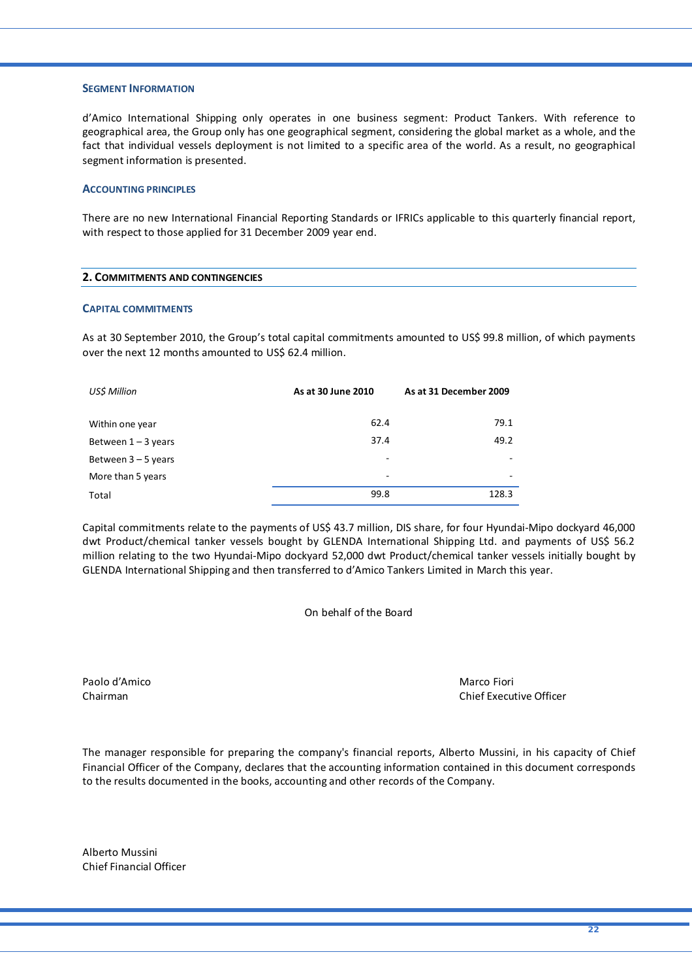#### **SEGMENT INFORMATION**

d'Amico International Shipping only operates in one business segment: Product Tankers. With reference to geographical area, the Group only has one geographical segment, considering the global market as a whole, and the fact that individual vessels deployment is not limited to a specific area of the world. As a result, no geographical segment information is presented.

#### **ACCOUNTING PRINCIPLES**

There are no new International Financial Reporting Standards or IFRICs applicable to this quarterly financial report, with respect to those applied for 31 December 2009 year end.

| 2. COMMITMENTS AND CONTINGENCIES |  |
|----------------------------------|--|
|                                  |  |

#### **CAPITAL COMMITMENTS**

As at 30 September 2010, the Group's total capital commitments amounted to US\$ 99.8 million, of which payments over the next 12 months amounted to US\$ 62.4 million.

| US\$ Million          | As at 30 June 2010 | As at 31 December 2009 |
|-----------------------|--------------------|------------------------|
| Within one year       | 62.4               | 79.1                   |
| Between $1 - 3$ years | 37.4               | 49.2                   |
| Between $3 - 5$ years |                    |                        |
| More than 5 years     | ٠                  | -                      |
| Total                 | 99.8               | 128.3                  |

Capital commitments relate to the payments of US\$ 43.7 million, DIS share, for four Hyundai‐Mipo dockyard 46,000 dwt Product/chemical tanker vessels bought by GLENDA International Shipping Ltd. and payments of US\$ 56.2 million relating to the two Hyundai‐Mipo dockyard 52,000 dwt Product/chemical tanker vessels initially bought by GLENDA International Shipping and then transferred to d'Amico Tankers Limited in March this year.

On behalf of the Board

Paolo d'Amico Marco Fiori

Chairman Chief Executive Officer

The manager responsible for preparing the company's financial reports, Alberto Mussini, in his capacity of Chief Financial Officer of the Company, declares that the accounting information contained in this document corresponds to the results documented in the books, accounting and other records of the Company.

Alberto Mussini Chief Financial Officer